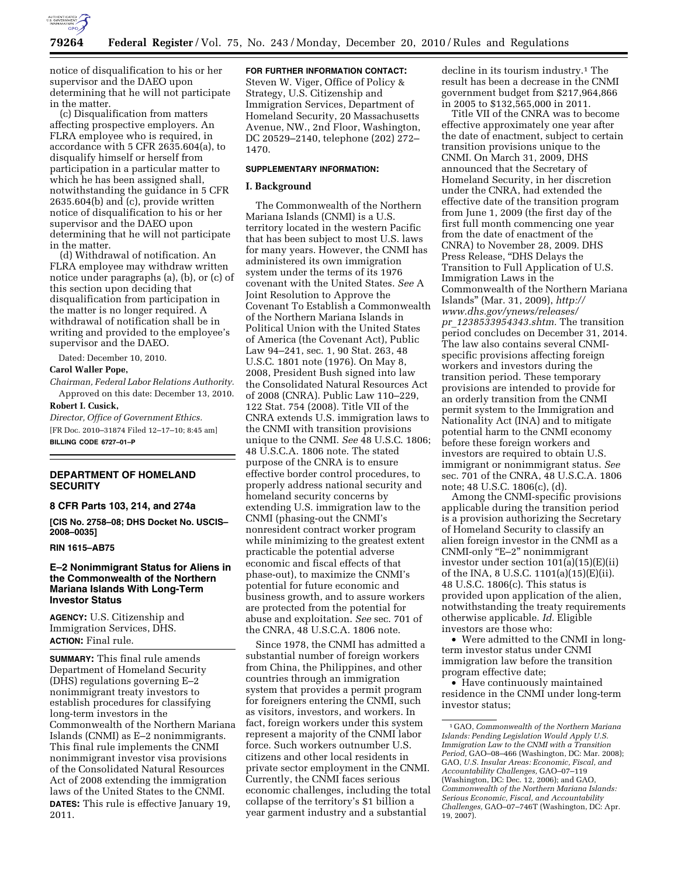

notice of disqualification to his or her supervisor and the DAEO upon determining that he will not participate in the matter.

(c) Disqualification from matters affecting prospective employers. An FLRA employee who is required, in accordance with 5 CFR 2635.604(a), to disqualify himself or herself from participation in a particular matter to which he has been assigned shall, notwithstanding the guidance in 5 CFR 2635.604(b) and (c), provide written notice of disqualification to his or her supervisor and the DAEO upon determining that he will not participate in the matter.

(d) Withdrawal of notification. An FLRA employee may withdraw written notice under paragraphs (a), (b), or (c) of this section upon deciding that disqualification from participation in the matter is no longer required. A withdrawal of notification shall be in writing and provided to the employee's supervisor and the DAEO.

Dated: December 10, 2010.

#### **Carol Waller Pope,**

*Chairman, Federal Labor Relations Authority.*  Approved on this date: December 13, 2010.

#### **Robert I. Cusick,**

*Director, Office of Government Ethics.*  [FR Doc. 2010–31874 Filed 12–17–10; 8:45 am] **BILLING CODE 6727–01–P** 

## **DEPARTMENT OF HOMELAND SECURITY**

# **8 CFR Parts 103, 214, and 274a**

**[CIS No. 2758–08; DHS Docket No. USCIS– 2008–0035]** 

## **RIN 1615–AB75**

## **E–2 Nonimmigrant Status for Aliens in the Commonwealth of the Northern Mariana Islands With Long-Term Investor Status**

**AGENCY:** U.S. Citizenship and Immigration Services, DHS. **ACTION:** Final rule.

**SUMMARY:** This final rule amends Department of Homeland Security (DHS) regulations governing E–2 nonimmigrant treaty investors to establish procedures for classifying long-term investors in the Commonwealth of the Northern Mariana Islands (CNMI) as E–2 nonimmigrants. This final rule implements the CNMI nonimmigrant investor visa provisions of the Consolidated Natural Resources Act of 2008 extending the immigration laws of the United States to the CNMI. **DATES:** This rule is effective January 19, 2011.

**FOR FURTHER INFORMATION CONTACT:**  Steven W. Viger, Office of Policy & Strategy, U.S. Citizenship and Immigration Services, Department of Homeland Security, 20 Massachusetts Avenue, NW., 2nd Floor, Washington, DC 20529–2140, telephone (202) 272– 1470.

### **SUPPLEMENTARY INFORMATION:**

#### **I. Background**

The Commonwealth of the Northern Mariana Islands (CNMI) is a U.S. territory located in the western Pacific that has been subject to most U.S. laws for many years. However, the CNMI has administered its own immigration system under the terms of its 1976 covenant with the United States. *See* A Joint Resolution to Approve the Covenant To Establish a Commonwealth of the Northern Mariana Islands in Political Union with the United States of America (the Covenant Act), Public Law 94–241, sec. 1, 90 Stat. 263, 48 U.S.C. 1801 note (1976). On May 8, 2008, President Bush signed into law the Consolidated Natural Resources Act of 2008 (CNRA). Public Law 110–229, 122 Stat. 754 (2008). Title VII of the CNRA extends U.S. immigration laws to the CNMI with transition provisions unique to the CNMI. *See* 48 U.S.C. 1806; 48 U.S.C.A. 1806 note. The stated purpose of the CNRA is to ensure effective border control procedures, to properly address national security and homeland security concerns by extending U.S. immigration law to the CNMI (phasing-out the CNMI's nonresident contract worker program while minimizing to the greatest extent practicable the potential adverse economic and fiscal effects of that phase-out), to maximize the CNMI's potential for future economic and business growth, and to assure workers are protected from the potential for abuse and exploitation. *See* sec. 701 of the CNRA, 48 U.S.C.A. 1806 note.

Since 1978, the CNMI has admitted a substantial number of foreign workers from China, the Philippines, and other countries through an immigration system that provides a permit program for foreigners entering the CNMI, such as visitors, investors, and workers. In fact, foreign workers under this system represent a majority of the CNMI labor force. Such workers outnumber U.S. citizens and other local residents in private sector employment in the CNMI. Currently, the CNMI faces serious economic challenges, including the total collapse of the territory's \$1 billion a year garment industry and a substantial

decline in its tourism industry.1 The result has been a decrease in the CNMI government budget from \$217,964,866 in 2005 to \$132,565,000 in 2011.

Title VII of the CNRA was to become effective approximately one year after the date of enactment, subject to certain transition provisions unique to the CNMI. On March 31, 2009, DHS announced that the Secretary of Homeland Security, in her discretion under the CNRA, had extended the effective date of the transition program from June 1, 2009 (the first day of the first full month commencing one year from the date of enactment of the CNRA) to November 28, 2009. DHS Press Release, ''DHS Delays the Transition to Full Application of U.S. Immigration Laws in the Commonwealth of the Northern Mariana Islands'' (Mar. 31, 2009), *[http://](http://www.dhs.gov/ynews/releases/pr_1238533954343.shtm)  [www.dhs.gov/ynews/releases/](http://www.dhs.gov/ynews/releases/pr_1238533954343.shtm) pr*\_*[1238533954343.shtm.](http://www.dhs.gov/ynews/releases/pr_1238533954343.shtm)* The transition period concludes on December 31, 2014. The law also contains several CNMIspecific provisions affecting foreign workers and investors during the transition period. These temporary provisions are intended to provide for an orderly transition from the CNMI permit system to the Immigration and Nationality Act (INA) and to mitigate potential harm to the CNMI economy before these foreign workers and investors are required to obtain U.S. immigrant or nonimmigrant status. *See*  sec. 701 of the CNRA, 48 U.S.C.A. 1806 note; 48 U.S.C. 1806(c), (d).

Among the CNMI-specific provisions applicable during the transition period is a provision authorizing the Secretary of Homeland Security to classify an alien foreign investor in the CNMI as a CNMI-only ''E–2'' nonimmigrant investor under section  $101(a)(15)(E)(ii)$ of the INA, 8 U.S.C. 1101(a)(15)(E)(ii). 48 U.S.C. 1806(c). This status is provided upon application of the alien, notwithstanding the treaty requirements otherwise applicable. *Id.* Eligible investors are those who:

• Were admitted to the CNMI in longterm investor status under CNMI immigration law before the transition program effective date;

• Have continuously maintained residence in the CNMI under long-term investor status;

<sup>1</sup> GAO, *Commonwealth of the Northern Mariana Islands: Pending Legislation Would Apply U.S. Immigration Law to the CNMI with a Transition Period,* GAO–08–466 (Washington, DC: Mar. 2008); GAO, *U.S. Insular Areas: Economic, Fiscal, and Accountability Challenges,* GAO–07–119 (Washington, DC: Dec. 12, 2006); and GAO, *Commonwealth of the Northern Mariana Islands: Serious Economic, Fiscal, and Accountability Challenges,* GAO–07–746T (Washington, DC: Apr. 19, 2007).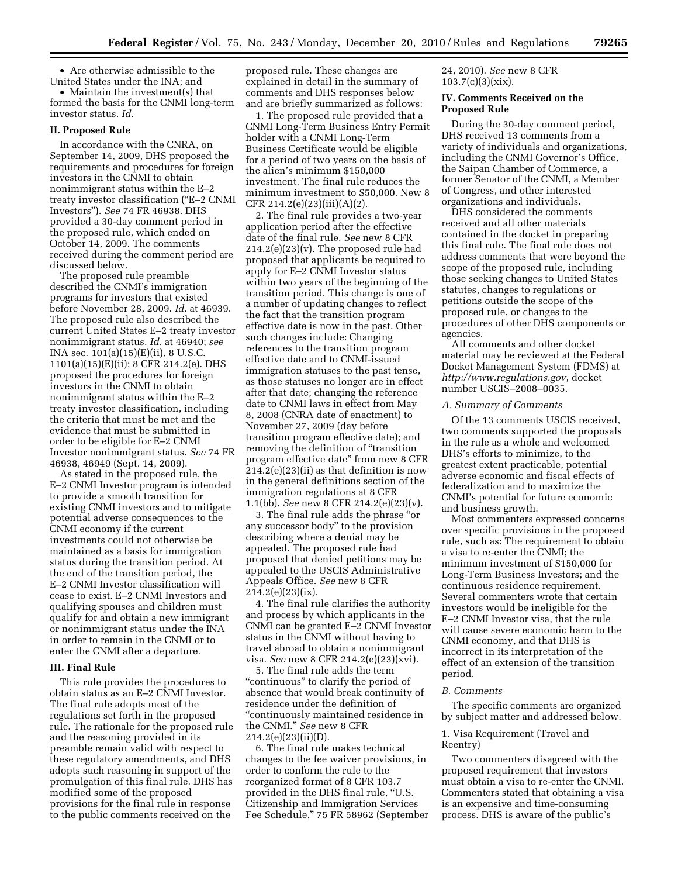• Are otherwise admissible to the United States under the INA; and

• Maintain the investment(s) that formed the basis for the CNMI long-term investor status. *Id.* 

#### **II. Proposed Rule**

In accordance with the CNRA, on September 14, 2009, DHS proposed the requirements and procedures for foreign investors in the CNMI to obtain nonimmigrant status within the E–2 treaty investor classification (''E–2 CNMI Investors''). *See* 74 FR 46938. DHS provided a 30-day comment period in the proposed rule, which ended on October 14, 2009. The comments received during the comment period are discussed below.

The proposed rule preamble described the CNMI's immigration programs for investors that existed before November 28, 2009. *Id.* at 46939. The proposed rule also described the current United States E–2 treaty investor nonimmigrant status. *Id.* at 46940; *see*  INA sec. 101(a)(15)(E)(ii), 8 U.S.C. 1101(a)(15)(E)(ii); 8 CFR 214.2(e). DHS proposed the procedures for foreign investors in the CNMI to obtain nonimmigrant status within the E–2 treaty investor classification, including the criteria that must be met and the evidence that must be submitted in order to be eligible for E–2 CNMI Investor nonimmigrant status. *See* 74 FR 46938, 46949 (Sept. 14, 2009).

As stated in the proposed rule, the E–2 CNMI Investor program is intended to provide a smooth transition for existing CNMI investors and to mitigate potential adverse consequences to the CNMI economy if the current investments could not otherwise be maintained as a basis for immigration status during the transition period. At the end of the transition period, the E–2 CNMI Investor classification will cease to exist. E–2 CNMI Investors and qualifying spouses and children must qualify for and obtain a new immigrant or nonimmigrant status under the INA in order to remain in the CNMI or to enter the CNMI after a departure.

#### **III. Final Rule**

This rule provides the procedures to obtain status as an E–2 CNMI Investor. The final rule adopts most of the regulations set forth in the proposed rule. The rationale for the proposed rule and the reasoning provided in its preamble remain valid with respect to these regulatory amendments, and DHS adopts such reasoning in support of the promulgation of this final rule. DHS has modified some of the proposed provisions for the final rule in response to the public comments received on the

proposed rule. These changes are explained in detail in the summary of comments and DHS responses below and are briefly summarized as follows:

1. The proposed rule provided that a CNMI Long-Term Business Entry Permit holder with a CNMI Long-Term Business Certificate would be eligible for a period of two years on the basis of the alien's minimum \$150,000 investment. The final rule reduces the minimum investment to \$50,000. New 8 CFR 214.2(e)(23)(iii)(A)(2).

2. The final rule provides a two-year application period after the effective date of the final rule. *See* new 8 CFR 214.2(e)(23)(v). The proposed rule had proposed that applicants be required to apply for E–2 CNMI Investor status within two years of the beginning of the transition period. This change is one of a number of updating changes to reflect the fact that the transition program effective date is now in the past. Other such changes include: Changing references to the transition program effective date and to CNMI-issued immigration statuses to the past tense, as those statuses no longer are in effect after that date; changing the reference date to CNMI laws in effect from May 8, 2008 (CNRA date of enactment) to November 27, 2009 (day before transition program effective date); and removing the definition of ''transition program effective date'' from new 8 CFR 214.2(e)(23)(ii) as that definition is now in the general definitions section of the immigration regulations at 8 CFR 1.1(bb). *See* new 8 CFR 214.2(e)(23)(v).

3. The final rule adds the phrase ''or any successor body'' to the provision describing where a denial may be appealed. The proposed rule had proposed that denied petitions may be appealed to the USCIS Administrative Appeals Office. *See* new 8 CFR  $214.2(e)(23)(ix)$ .

4. The final rule clarifies the authority and process by which applicants in the CNMI can be granted E–2 CNMI Investor status in the CNMI without having to travel abroad to obtain a nonimmigrant visa. *See* new 8 CFR 214.2(e)(23)(xvi).

5. The final rule adds the term ''continuous'' to clarify the period of absence that would break continuity of residence under the definition of ''continuously maintained residence in the CNMI.'' *See* new 8 CFR 214.2(e)(23)(ii)(D).

6. The final rule makes technical changes to the fee waiver provisions, in order to conform the rule to the reorganized format of 8 CFR 103.7 provided in the DHS final rule, "U.S. Citizenship and Immigration Services Fee Schedule,'' 75 FR 58962 (September 24, 2010). *See* new 8 CFR 103.7(c)(3)(xix).

## **IV. Comments Received on the Proposed Rule**

During the 30-day comment period, DHS received 13 comments from a variety of individuals and organizations, including the CNMI Governor's Office, the Saipan Chamber of Commerce, a former Senator of the CNMI, a Member of Congress, and other interested organizations and individuals.

DHS considered the comments received and all other materials contained in the docket in preparing this final rule. The final rule does not address comments that were beyond the scope of the proposed rule, including those seeking changes to United States statutes, changes to regulations or petitions outside the scope of the proposed rule, or changes to the procedures of other DHS components or agencies.

All comments and other docket material may be reviewed at the Federal Docket Management System (FDMS) at *<http://www.regulations.gov>*, docket number USCIS–2008–0035.

#### *A. Summary of Comments*

Of the 13 comments USCIS received, two comments supported the proposals in the rule as a whole and welcomed DHS's efforts to minimize, to the greatest extent practicable, potential adverse economic and fiscal effects of federalization and to maximize the CNMI's potential for future economic and business growth.

Most commenters expressed concerns over specific provisions in the proposed rule, such as: The requirement to obtain a visa to re-enter the CNMI; the minimum investment of \$150,000 for Long-Term Business Investors; and the continuous residence requirement. Several commenters wrote that certain investors would be ineligible for the E–2 CNMI Investor visa, that the rule will cause severe economic harm to the CNMI economy, and that DHS is incorrect in its interpretation of the effect of an extension of the transition period.

#### *B. Comments*

The specific comments are organized by subject matter and addressed below.

### 1. Visa Requirement (Travel and Reentry)

Two commenters disagreed with the proposed requirement that investors must obtain a visa to re-enter the CNMI. Commenters stated that obtaining a visa is an expensive and time-consuming process. DHS is aware of the public's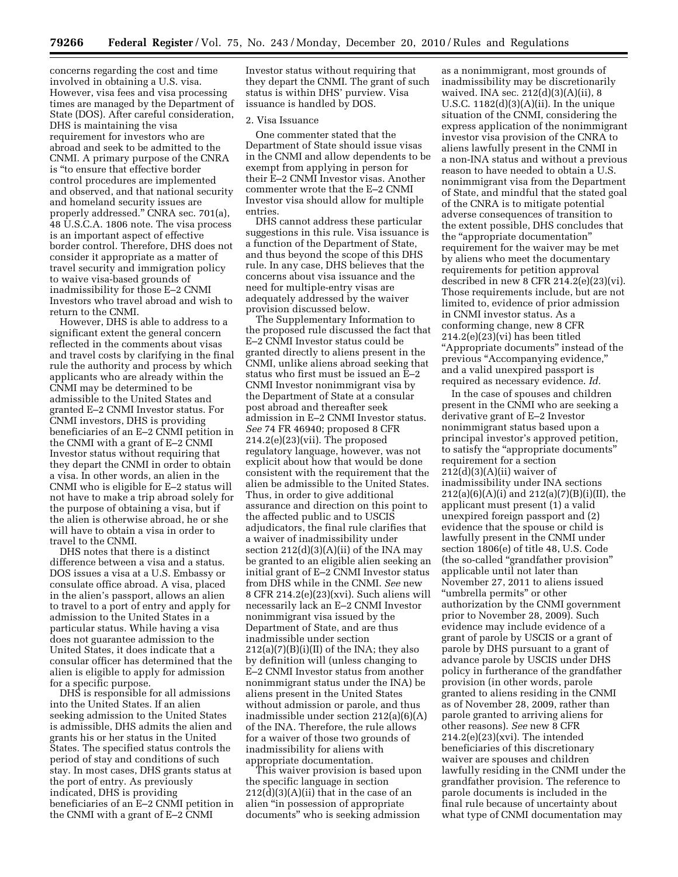concerns regarding the cost and time involved in obtaining a U.S. visa. However, visa fees and visa processing times are managed by the Department of State (DOS). After careful consideration, DHS is maintaining the visa requirement for investors who are abroad and seek to be admitted to the CNMI. A primary purpose of the CNRA is ''to ensure that effective border control procedures are implemented and observed, and that national security and homeland security issues are properly addressed.'' CNRA sec. 701(a), 48 U.S.C.A. 1806 note. The visa process is an important aspect of effective border control. Therefore, DHS does not consider it appropriate as a matter of travel security and immigration policy to waive visa-based grounds of inadmissibility for those E–2 CNMI Investors who travel abroad and wish to return to the CNMI.

However, DHS is able to address to a significant extent the general concern reflected in the comments about visas and travel costs by clarifying in the final rule the authority and process by which applicants who are already within the CNMI may be determined to be admissible to the United States and granted E–2 CNMI Investor status. For CNMI investors, DHS is providing beneficiaries of an E–2 CNMI petition in the CNMI with a grant of E–2 CNMI Investor status without requiring that they depart the CNMI in order to obtain a visa. In other words, an alien in the CNMI who is eligible for E–2 status will not have to make a trip abroad solely for the purpose of obtaining a visa, but if the alien is otherwise abroad, he or she will have to obtain a visa in order to travel to the CNMI.

DHS notes that there is a distinct difference between a visa and a status. DOS issues a visa at a U.S. Embassy or consulate office abroad. A visa, placed in the alien's passport, allows an alien to travel to a port of entry and apply for admission to the United States in a particular status. While having a visa does not guarantee admission to the United States, it does indicate that a consular officer has determined that the alien is eligible to apply for admission for a specific purpose.

DHS is responsible for all admissions into the United States. If an alien seeking admission to the United States is admissible, DHS admits the alien and grants his or her status in the United States. The specified status controls the period of stay and conditions of such stay. In most cases, DHS grants status at the port of entry. As previously indicated, DHS is providing beneficiaries of an E–2 CNMI petition in the CNMI with a grant of E–2 CNMI

Investor status without requiring that they depart the CNMI. The grant of such status is within DHS' purview. Visa issuance is handled by DOS.

#### 2. Visa Issuance

One commenter stated that the Department of State should issue visas in the CNMI and allow dependents to be exempt from applying in person for their E–2 CNMI Investor visas. Another commenter wrote that the E–2 CNMI Investor visa should allow for multiple entries.

DHS cannot address these particular suggestions in this rule. Visa issuance is a function of the Department of State, and thus beyond the scope of this DHS rule. In any case, DHS believes that the concerns about visa issuance and the need for multiple-entry visas are adequately addressed by the waiver provision discussed below.

The Supplementary Information to the proposed rule discussed the fact that E–2 CNMI Investor status could be granted directly to aliens present in the CNMI, unlike aliens abroad seeking that status who first must be issued an E–2 CNMI Investor nonimmigrant visa by the Department of State at a consular post abroad and thereafter seek admission in E–2 CNMI Investor status. *See* 74 FR 46940; proposed 8 CFR 214.2(e)(23)(vii). The proposed regulatory language, however, was not explicit about how that would be done consistent with the requirement that the alien be admissible to the United States. Thus, in order to give additional assurance and direction on this point to the affected public and to USCIS adjudicators, the final rule clarifies that a waiver of inadmissibility under section 212(d)(3)(A)(ii) of the INA may be granted to an eligible alien seeking an initial grant of E–2 CNMI Investor status from DHS while in the CNMI. *See* new 8 CFR 214.2(e)(23)(xvi). Such aliens will necessarily lack an E–2 CNMI Investor nonimmigrant visa issued by the Department of State, and are thus inadmissible under section  $212(a)(7)(B)(i)(II)$  of the INA; they also by definition will (unless changing to E–2 CNMI Investor status from another nonimmigrant status under the INA) be aliens present in the United States without admission or parole, and thus inadmissible under section 212(a)(6)(A) of the INA. Therefore, the rule allows for a waiver of those two grounds of inadmissibility for aliens with appropriate documentation.

This waiver provision is based upon the specific language in section  $212(d)(3)(A)(ii)$  that in the case of an alien ''in possession of appropriate documents'' who is seeking admission

as a nonimmigrant, most grounds of inadmissibility may be discretionarily waived. INA sec. 212(d)(3)(A)(ii), 8 U.S.C. 1182(d)(3)(A)(ii). In the unique situation of the CNMI, considering the express application of the nonimmigrant investor visa provision of the CNRA to aliens lawfully present in the CNMI in a non-INA status and without a previous reason to have needed to obtain a U.S. nonimmigrant visa from the Department of State, and mindful that the stated goal of the CNRA is to mitigate potential adverse consequences of transition to the extent possible, DHS concludes that the ''appropriate documentation'' requirement for the waiver may be met by aliens who meet the documentary requirements for petition approval described in new 8 CFR 214.2(e)(23)(vi). Those requirements include, but are not limited to, evidence of prior admission in CNMI investor status. As a conforming change, new 8 CFR 214.2(e)(23)(vi) has been titled ''Appropriate documents'' instead of the previous "Accompanying evidence," and a valid unexpired passport is required as necessary evidence. *Id.* 

In the case of spouses and children present in the CNMI who are seeking a derivative grant of E–2 Investor nonimmigrant status based upon a principal investor's approved petition, to satisfy the ''appropriate documents'' requirement for a section  $212(d)(3)(A)(ii)$  waiver of inadmissibility under INA sections  $212(a)(6)(A)(i)$  and  $212(a)(7)(B)(i)(II)$ , the applicant must present (1) a valid unexpired foreign passport and (2) evidence that the spouse or child is lawfully present in the CNMI under section 1806(e) of title 48, U.S. Code (the so-called ''grandfather provision'' applicable until not later than November 27, 2011 to aliens issued ''umbrella permits'' or other authorization by the CNMI government prior to November 28, 2009). Such evidence may include evidence of a grant of parole by USCIS or a grant of parole by DHS pursuant to a grant of advance parole by USCIS under DHS policy in furtherance of the grandfather provision (in other words, parole granted to aliens residing in the CNMI as of November 28, 2009, rather than parole granted to arriving aliens for other reasons). *See* new 8 CFR 214.2(e)(23)(xvi). The intended beneficiaries of this discretionary waiver are spouses and children lawfully residing in the CNMI under the grandfather provision. The reference to parole documents is included in the final rule because of uncertainty about what type of CNMI documentation may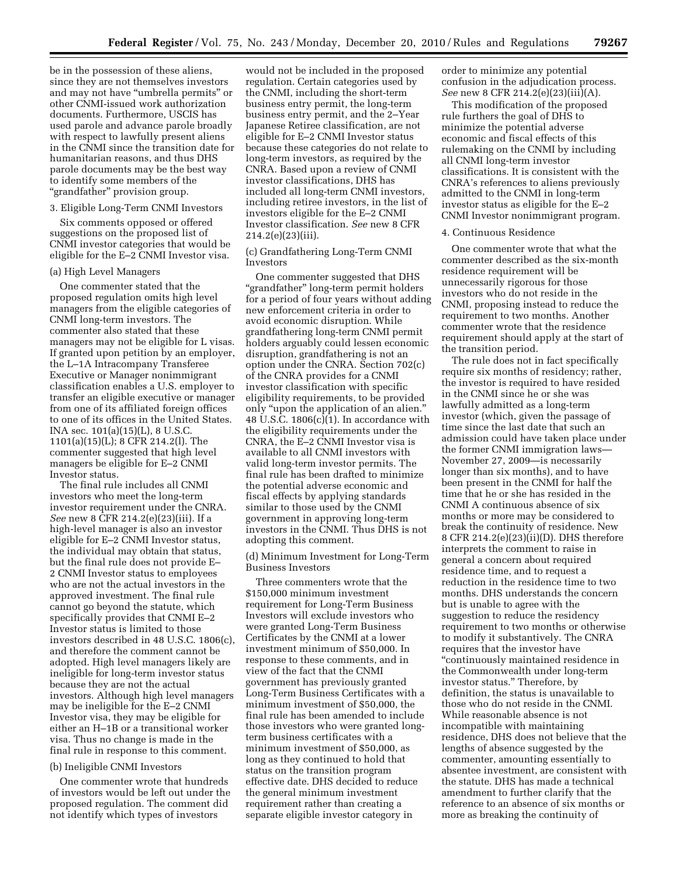be in the possession of these aliens, since they are not themselves investors and may not have ''umbrella permits'' or other CNMI-issued work authorization documents. Furthermore, USCIS has used parole and advance parole broadly with respect to lawfully present aliens in the CNMI since the transition date for humanitarian reasons, and thus DHS parole documents may be the best way to identify some members of the ''grandfather'' provision group.

## 3. Eligible Long-Term CNMI Investors

Six comments opposed or offered suggestions on the proposed list of CNMI investor categories that would be eligible for the E–2 CNMI Investor visa.

## (a) High Level Managers

One commenter stated that the proposed regulation omits high level managers from the eligible categories of CNMI long-term investors. The commenter also stated that these managers may not be eligible for L visas. If granted upon petition by an employer, the L–1A Intracompany Transferee Executive or Manager nonimmigrant classification enables a U.S. employer to transfer an eligible executive or manager from one of its affiliated foreign offices to one of its offices in the United States. INA sec. 101(a)(15)(L), 8 U.S.C. 1101(a)(15)(L); 8 CFR 214.2(l). The commenter suggested that high level managers be eligible for E–2 CNMI Investor status.

The final rule includes all CNMI investors who meet the long-term investor requirement under the CNRA. *See* new 8 CFR 214.2(e)(23)(iii). If a high-level manager is also an investor eligible for E–2 CNMI Investor status, the individual may obtain that status, but the final rule does not provide E– 2 CNMI Investor status to employees who are not the actual investors in the approved investment. The final rule cannot go beyond the statute, which specifically provides that CNMI E–2 Investor status is limited to those investors described in 48 U.S.C. 1806(c), and therefore the comment cannot be adopted. High level managers likely are ineligible for long-term investor status because they are not the actual investors. Although high level managers may be ineligible for the E–2 CNMI Investor visa, they may be eligible for either an H–1B or a transitional worker visa. Thus no change is made in the final rule in response to this comment.

### (b) Ineligible CNMI Investors

One commenter wrote that hundreds of investors would be left out under the proposed regulation. The comment did not identify which types of investors

would not be included in the proposed regulation. Certain categories used by the CNMI, including the short-term business entry permit, the long-term business entry permit, and the 2–Year Japanese Retiree classification, are not eligible for E–2 CNMI Investor status because these categories do not relate to long-term investors, as required by the CNRA. Based upon a review of CNMI investor classifications, DHS has included all long-term CNMI investors, including retiree investors, in the list of investors eligible for the E–2 CNMI Investor classification. *See* new 8 CFR 214.2(e)(23)(iii).

(c) Grandfathering Long-Term CNMI Investors

One commenter suggested that DHS "grandfather" long-term permit holders for a period of four years without adding new enforcement criteria in order to avoid economic disruption. While grandfathering long-term CNMI permit holders arguably could lessen economic disruption, grandfathering is not an option under the CNRA. Section 702(c) of the CNRA provides for a CNMI investor classification with specific eligibility requirements, to be provided only ''upon the application of an alien.'' 48 U.S.C.  $1806(c)(1)$ . In accordance with the eligibility requirements under the CNRA, the E–2 CNMI Investor visa is available to all CNMI investors with valid long-term investor permits. The final rule has been drafted to minimize the potential adverse economic and fiscal effects by applying standards similar to those used by the CNMI government in approving long-term investors in the CNMI. Thus DHS is not adopting this comment.

(d) Minimum Investment for Long-Term Business Investors

Three commenters wrote that the \$150,000 minimum investment requirement for Long-Term Business Investors will exclude investors who were granted Long-Term Business Certificates by the CNMI at a lower investment minimum of \$50,000. In response to these comments, and in view of the fact that the CNMI government has previously granted Long-Term Business Certificates with a minimum investment of \$50,000, the final rule has been amended to include those investors who were granted longterm business certificates with a minimum investment of \$50,000, as long as they continued to hold that status on the transition program effective date. DHS decided to reduce the general minimum investment requirement rather than creating a separate eligible investor category in

order to minimize any potential confusion in the adjudication process. *See* new 8 CFR 214.2(e)(23)(iii)(A).

This modification of the proposed rule furthers the goal of DHS to minimize the potential adverse economic and fiscal effects of this rulemaking on the CNMI by including all CNMI long-term investor classifications. It is consistent with the CNRA's references to aliens previously admitted to the CNMI in long-term investor status as eligible for the E–2 CNMI Investor nonimmigrant program.

#### 4. Continuous Residence

One commenter wrote that what the commenter described as the six-month residence requirement will be unnecessarily rigorous for those investors who do not reside in the CNMI, proposing instead to reduce the requirement to two months. Another commenter wrote that the residence requirement should apply at the start of the transition period.

The rule does not in fact specifically require six months of residency; rather, the investor is required to have resided in the CNMI since he or she was lawfully admitted as a long-term investor (which, given the passage of time since the last date that such an admission could have taken place under the former CNMI immigration laws— November 27, 2009—is necessarily longer than six months), and to have been present in the CNMI for half the time that he or she has resided in the CNMI A continuous absence of six months or more may be considered to break the continuity of residence. New 8 CFR 214.2(e)(23)(ii)(D). DHS therefore interprets the comment to raise in general a concern about required residence time, and to request a reduction in the residence time to two months. DHS understands the concern but is unable to agree with the suggestion to reduce the residency requirement to two months or otherwise to modify it substantively. The CNRA requires that the investor have ''continuously maintained residence in the Commonwealth under long-term investor status.'' Therefore, by definition, the status is unavailable to those who do not reside in the CNMI. While reasonable absence is not incompatible with maintaining residence, DHS does not believe that the lengths of absence suggested by the commenter, amounting essentially to absentee investment, are consistent with the statute. DHS has made a technical amendment to further clarify that the reference to an absence of six months or more as breaking the continuity of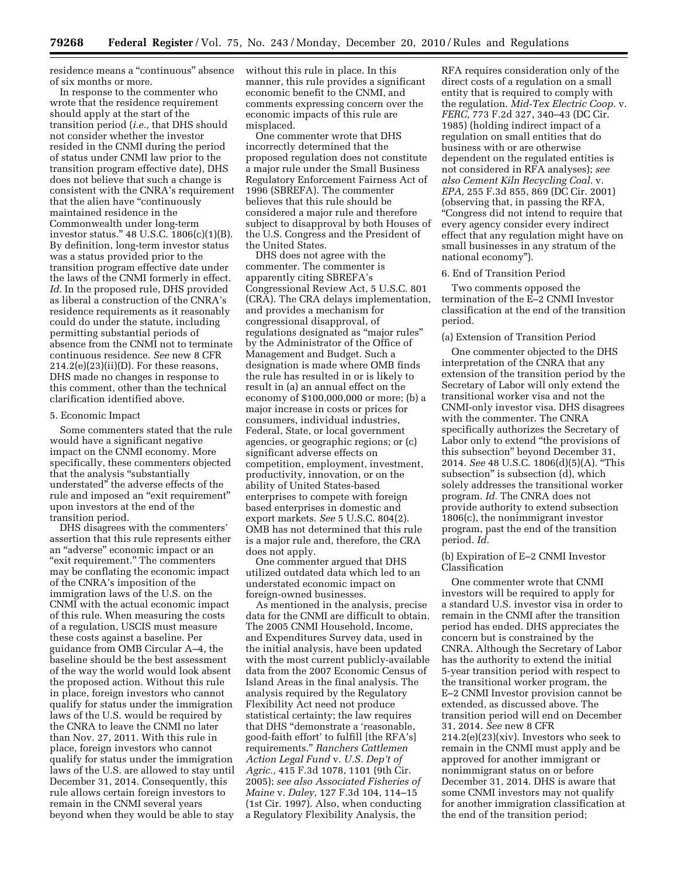residence means a ''continuous'' absence of six months or more.

In response to the commenter who wrote that the residence requirement should apply at the start of the transition period (*i.e.,* that DHS should not consider whether the investor resided in the CNMI during the period of status under CNMI law prior to the transition program effective date), DHS does not believe that such a change is consistent with the CNRA's requirement that the alien have "continuously maintained residence in the Commonwealth under long-term investor status.'' 48 U.S.C. 1806(c)(1)(B). By definition, long-term investor status was a status provided prior to the transition program effective date under the laws of the CNMI formerly in effect. *Id.* In the proposed rule, DHS provided as liberal a construction of the CNRA's residence requirements as it reasonably could do under the statute, including permitting substantial periods of absence from the CNMI not to terminate continuous residence. *See* new 8 CFR  $214.2(e)(23)(ii)(D)$ . For these reasons, DHS made no changes in response to this comment, other than the technical clarification identified above.

#### 5. Economic Impact

Some commenters stated that the rule would have a significant negative impact on the CNMI economy. More specifically, these commenters objected that the analysis ''substantially understated'' the adverse effects of the rule and imposed an "exit requirement" upon investors at the end of the transition period.

DHS disagrees with the commenters' assertion that this rule represents either an ''adverse'' economic impact or an "exit requirement." The commenters may be conflating the economic impact of the CNRA's imposition of the immigration laws of the U.S. on the CNMI with the actual economic impact of this rule. When measuring the costs of a regulation, USCIS must measure these costs against a baseline. Per guidance from OMB Circular A–4, the baseline should be the best assessment of the way the world would look absent the proposed action. Without this rule in place, foreign investors who cannot qualify for status under the immigration laws of the U.S. would be required by the CNRA to leave the CNMI no later than Nov. 27, 2011. With this rule in place, foreign investors who cannot qualify for status under the immigration laws of the U.S. are allowed to stay until December 31, 2014. Consequently, this rule allows certain foreign investors to remain in the CNMI several years beyond when they would be able to stay

without this rule in place. In this manner, this rule provides a significant economic benefit to the CNMI, and comments expressing concern over the economic impacts of this rule are misplaced.

One commenter wrote that DHS incorrectly determined that the proposed regulation does not constitute a major rule under the Small Business Regulatory Enforcement Fairness Act of 1996 (SBREFA). The commenter believes that this rule should be considered a major rule and therefore subject to disapproval by both Houses of the U.S. Congress and the President of the United States.

DHS does not agree with the commenter. The commenter is apparently citing SBREFA's Congressional Review Act, 5 U.S.C. 801 (CRA). The CRA delays implementation, and provides a mechanism for congressional disapproval, of regulations designated as ''major rules'' by the Administrator of the Office of Management and Budget. Such a designation is made where OMB finds the rule has resulted in or is likely to result in (a) an annual effect on the economy of \$100,000,000 or more; (b) a major increase in costs or prices for consumers, individual industries, Federal, State, or local government agencies, or geographic regions; or (c) significant adverse effects on competition, employment, investment, productivity, innovation, or on the ability of United States-based enterprises to compete with foreign based enterprises in domestic and export markets. *See* 5 U.S.C. 804(2). OMB has not determined that this rule is a major rule and, therefore, the CRA does not apply.

One commenter argued that DHS utilized outdated data which led to an understated economic impact on foreign-owned businesses.

As mentioned in the analysis, precise data for the CNMI are difficult to obtain. The 2005 CNMI Household, Income, and Expenditures Survey data, used in the initial analysis, have been updated with the most current publicly-available data from the 2007 Economic Census of Island Areas in the final analysis. The analysis required by the Regulatory Flexibility Act need not produce statistical certainty; the law requires that DHS ''demonstrate a 'reasonable, good-faith effort' to fulfill [the RFA's] requirements.'' *Ranchers Cattlemen Action Legal Fund* v. *U.S. Dep't of Agric.,* 415 F.3d 1078, 1101 (9th Cir. 2005); *see also Associated Fisheries of Maine* v. *Daley,* 127 F.3d 104, 114–15 (1st Cir. 1997). Also, when conducting a Regulatory Flexibility Analysis, the

RFA requires consideration only of the direct costs of a regulation on a small entity that is required to comply with the regulation. *Mid-Tex Electric Coop.* v. *FERC,* 773 F.2d 327, 340–43 (DC Cir. 1985) (holding indirect impact of a regulation on small entities that do business with or are otherwise dependent on the regulated entities is not considered in RFA analyses); *see also Cement Kiln Recycling Coal.* v. *EPA,* 255 F.3d 855, 869 (DC Cir. 2001) (observing that, in passing the RFA, ''Congress did not intend to require that every agency consider every indirect effect that any regulation might have on small businesses in any stratum of the national economy'').

#### 6. End of Transition Period

Two comments opposed the termination of the E–2 CNMI Investor classification at the end of the transition period.

### (a) Extension of Transition Period

One commenter objected to the DHS interpretation of the CNRA that any extension of the transition period by the Secretary of Labor will only extend the transitional worker visa and not the CNMI-only investor visa. DHS disagrees with the commenter. The CNRA specifically authorizes the Secretary of Labor only to extend ''the provisions of this subsection'' beyond December 31, 2014. *See* 48 U.S.C. 1806(d)(5)(A). ''This subsection" is subsection (d), which solely addresses the transitional worker program. *Id.* The CNRA does not provide authority to extend subsection 1806(c), the nonimmigrant investor program, past the end of the transition period. *Id.* 

## (b) Expiration of E–2 CNMI Investor Classification

One commenter wrote that CNMI investors will be required to apply for a standard U.S. investor visa in order to remain in the CNMI after the transition period has ended. DHS appreciates the concern but is constrained by the CNRA. Although the Secretary of Labor has the authority to extend the initial 5-year transition period with respect to the transitional worker program, the E–2 CNMI Investor provision cannot be extended, as discussed above. The transition period will end on December 31, 2014. *See* new 8 CFR  $214.2(e)(23)(xiv)$ . Investors who seek to remain in the CNMI must apply and be approved for another immigrant or nonimmigrant status on or before December 31, 2014. DHS is aware that some CNMI investors may not qualify for another immigration classification at the end of the transition period;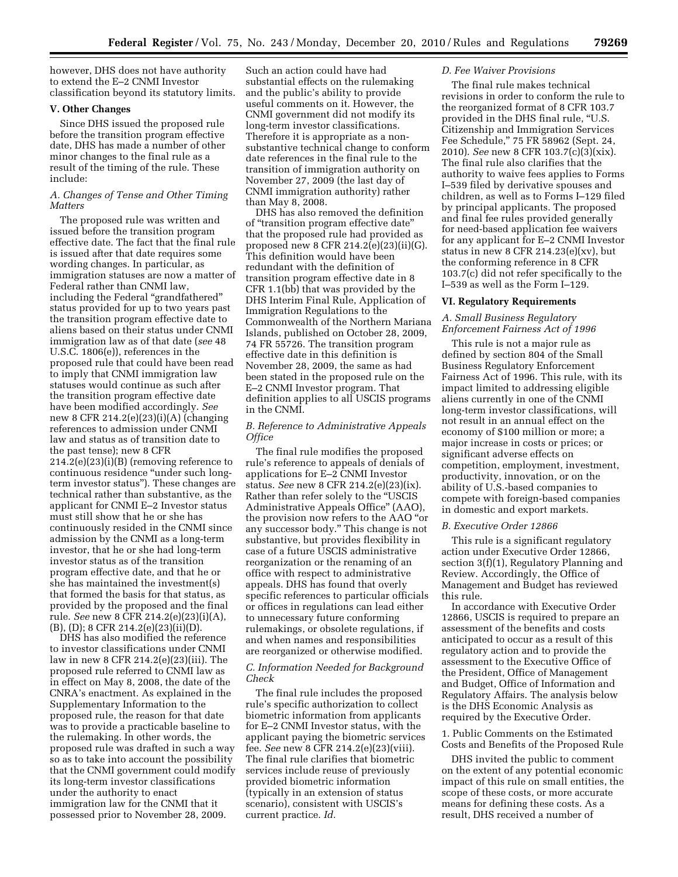however, DHS does not have authority to extend the E–2 CNMI Investor classification beyond its statutory limits.

### **V. Other Changes**

Since DHS issued the proposed rule before the transition program effective date, DHS has made a number of other minor changes to the final rule as a result of the timing of the rule. These include:

## *A. Changes of Tense and Other Timing Matters*

The proposed rule was written and issued before the transition program effective date. The fact that the final rule is issued after that date requires some wording changes. In particular, as immigration statuses are now a matter of Federal rather than CNMI law, including the Federal ''grandfathered'' status provided for up to two years past the transition program effective date to aliens based on their status under CNMI immigration law as of that date (*see* 48 U.S.C. 1806(e)), references in the proposed rule that could have been read to imply that CNMI immigration law statuses would continue as such after the transition program effective date have been modified accordingly. *See*  new 8 CFR 214.2(e)(23)(i)(A) (changing references to admission under CNMI law and status as of transition date to the past tense); new 8 CFR 214.2(e)(23)(i)(B) (removing reference to continuous residence ''under such longterm investor status''). These changes are technical rather than substantive, as the applicant for CNMI E–2 Investor status must still show that he or she has continuously resided in the CNMI since admission by the CNMI as a long-term investor, that he or she had long-term investor status as of the transition program effective date, and that he or she has maintained the investment(s) that formed the basis for that status, as provided by the proposed and the final rule. *See* new 8 CFR 214.2(e)(23)(i)(A), (B), (D); 8 CFR 214.2(e)(23)(ii)(D).

DHS has also modified the reference to investor classifications under CNMI law in new 8 CFR 214.2(e)(23)(iii). The proposed rule referred to CNMI law as in effect on May 8, 2008, the date of the CNRA's enactment. As explained in the Supplementary Information to the proposed rule, the reason for that date was to provide a practicable baseline to the rulemaking. In other words, the proposed rule was drafted in such a way so as to take into account the possibility that the CNMI government could modify its long-term investor classifications under the authority to enact immigration law for the CNMI that it possessed prior to November 28, 2009.

Such an action could have had substantial effects on the rulemaking and the public's ability to provide useful comments on it. However, the CNMI government did not modify its long-term investor classifications. Therefore it is appropriate as a nonsubstantive technical change to conform date references in the final rule to the transition of immigration authority on November 27, 2009 (the last day of CNMI immigration authority) rather than May 8, 2008.

DHS has also removed the definition of ''transition program effective date'' that the proposed rule had provided as proposed new 8 CFR 214.2(e)(23)(ii)(G). This definition would have been redundant with the definition of transition program effective date in 8 CFR 1.1(bb) that was provided by the DHS Interim Final Rule, Application of Immigration Regulations to the Commonwealth of the Northern Mariana Islands, published on October 28, 2009, 74 FR 55726. The transition program effective date in this definition is November 28, 2009, the same as had been stated in the proposed rule on the E–2 CNMI Investor program. That definition applies to all USCIS programs in the CNMI.

## *B. Reference to Administrative Appeals Office*

The final rule modifies the proposed rule's reference to appeals of denials of applications for E–2 CNMI Investor status. *See* new 8 CFR 214.2(e)(23)(ix). Rather than refer solely to the ''USCIS Administrative Appeals Office'' (AAO), the provision now refers to the AAO ''or any successor body.'' This change is not substantive, but provides flexibility in case of a future USCIS administrative reorganization or the renaming of an office with respect to administrative appeals. DHS has found that overly specific references to particular officials or offices in regulations can lead either to unnecessary future conforming rulemakings, or obsolete regulations, if and when names and responsibilities are reorganized or otherwise modified.

### *C. Information Needed for Background Check*

The final rule includes the proposed rule's specific authorization to collect biometric information from applicants for E–2 CNMI Investor status, with the applicant paying the biometric services fee. *See* new 8 CFR 214.2(e)(23)(viii). The final rule clarifies that biometric services include reuse of previously provided biometric information (typically in an extension of status scenario), consistent with USCIS's current practice. *Id.* 

## *D. Fee Waiver Provisions*

The final rule makes technical revisions in order to conform the rule to the reorganized format of 8 CFR 103.7 provided in the DHS final rule, ''U.S. Citizenship and Immigration Services Fee Schedule,'' 75 FR 58962 (Sept. 24, 2010). *See* new 8 CFR 103.7(c)(3)(xix). The final rule also clarifies that the authority to waive fees applies to Forms I–539 filed by derivative spouses and children, as well as to Forms I–129 filed by principal applicants. The proposed and final fee rules provided generally for need-based application fee waivers for any applicant for E–2 CNMI Investor status in new 8 CFR 214.23 $(e)(xv)$ , but the conforming reference in 8 CFR 103.7(c) did not refer specifically to the I–539 as well as the Form I–129.

## **VI. Regulatory Requirements**

## *A. Small Business Regulatory Enforcement Fairness Act of 1996*

This rule is not a major rule as defined by section 804 of the Small Business Regulatory Enforcement Fairness Act of 1996. This rule, with its impact limited to addressing eligible aliens currently in one of the CNMI long-term investor classifications, will not result in an annual effect on the economy of \$100 million or more; a major increase in costs or prices; or significant adverse effects on competition, employment, investment, productivity, innovation, or on the ability of U.S.-based companies to compete with foreign-based companies in domestic and export markets.

#### *B. Executive Order 12866*

This rule is a significant regulatory action under Executive Order 12866, section 3(f)(1), Regulatory Planning and Review. Accordingly, the Office of Management and Budget has reviewed this rule.

In accordance with Executive Order 12866, USCIS is required to prepare an assessment of the benefits and costs anticipated to occur as a result of this regulatory action and to provide the assessment to the Executive Office of the President, Office of Management and Budget, Office of Information and Regulatory Affairs. The analysis below is the DHS Economic Analysis as required by the Executive Order.

1. Public Comments on the Estimated Costs and Benefits of the Proposed Rule

DHS invited the public to comment on the extent of any potential economic impact of this rule on small entities, the scope of these costs, or more accurate means for defining these costs. As a result, DHS received a number of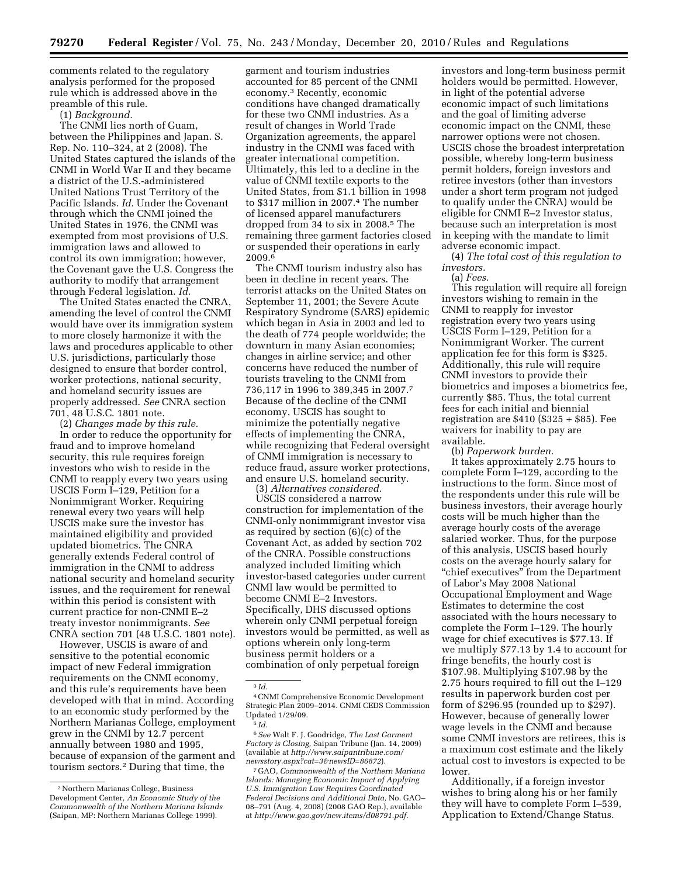comments related to the regulatory analysis performed for the proposed rule which is addressed above in the preamble of this rule.

(1) *Background.* 

The CNMI lies north of Guam, between the Philippines and Japan. S. Rep. No. 110–324, at 2 (2008). The United States captured the islands of the CNMI in World War II and they became a district of the U.S.-administered United Nations Trust Territory of the Pacific Islands. *Id.* Under the Covenant through which the CNMI joined the United States in 1976, the CNMI was exempted from most provisions of U.S. immigration laws and allowed to control its own immigration; however, the Covenant gave the U.S. Congress the authority to modify that arrangement through Federal legislation. *Id.* 

The United States enacted the CNRA, amending the level of control the CNMI would have over its immigration system to more closely harmonize it with the laws and procedures applicable to other U.S. jurisdictions, particularly those designed to ensure that border control, worker protections, national security, and homeland security issues are properly addressed. *See* CNRA section 701, 48 U.S.C. 1801 note.

(2) *Changes made by this rule.*  In order to reduce the opportunity for fraud and to improve homeland security, this rule requires foreign investors who wish to reside in the CNMI to reapply every two years using USCIS Form I–129, Petition for a Nonimmigrant Worker. Requiring renewal every two years will help USCIS make sure the investor has maintained eligibility and provided updated biometrics. The CNRA generally extends Federal control of immigration in the CNMI to address national security and homeland security issues, and the requirement for renewal within this period is consistent with current practice for non-CNMI E–2 treaty investor nonimmigrants. *See*  CNRA section 701 (48 U.S.C. 1801 note).

However, USCIS is aware of and sensitive to the potential economic impact of new Federal immigration requirements on the CNMI economy, and this rule's requirements have been developed with that in mind. According to an economic study performed by the Northern Marianas College, employment grew in the CNMI by 12.7 percent annually between 1980 and 1995, because of expansion of the garment and tourism sectors.2 During that time, the

garment and tourism industries accounted for 85 percent of the CNMI economy.3 Recently, economic conditions have changed dramatically for these two CNMI industries. As a result of changes in World Trade Organization agreements, the apparel industry in the CNMI was faced with greater international competition. Ultimately, this led to a decline in the value of CNMI textile exports to the United States, from \$1.1 billion in 1998 to \$317 million in 2007.4 The number of licensed apparel manufacturers dropped from 34 to six in 2008.5 The remaining three garment factories closed or suspended their operations in early 2009.6

The CNMI tourism industry also has been in decline in recent years. The terrorist attacks on the United States on September 11, 2001; the Severe Acute Respiratory Syndrome (SARS) epidemic which began in Asia in 2003 and led to the death of 774 people worldwide; the downturn in many Asian economies; changes in airline service; and other concerns have reduced the number of tourists traveling to the CNMI from 736,117 in 1996 to 389,345 in 2007.7 Because of the decline of the CNMI economy, USCIS has sought to minimize the potentially negative effects of implementing the CNRA, while recognizing that Federal oversight of CNMI immigration is necessary to reduce fraud, assure worker protections, and ensure U.S. homeland security.

(3) *Alternatives considered.*  USCIS considered a narrow construction for implementation of the CNMI-only nonimmigrant investor visa as required by section (6)(c) of the Covenant Act, as added by section 702 of the CNRA. Possible constructions analyzed included limiting which investor-based categories under current CNMI law would be permitted to become CNMI E–2 Investors. Specifically, DHS discussed options wherein only CNMI perpetual foreign investors would be permitted, as well as options wherein only long-term business permit holders or a combination of only perpetual foreign

3 *Id.* 

investors and long-term business permit holders would be permitted. However, in light of the potential adverse economic impact of such limitations and the goal of limiting adverse economic impact on the CNMI, these narrower options were not chosen. USCIS chose the broadest interpretation possible, whereby long-term business permit holders, foreign investors and retiree investors (other than investors under a short term program not judged to qualify under the CNRA) would be eligible for CNMI E–2 Investor status, because such an interpretation is most in keeping with the mandate to limit adverse economic impact.

(4) *The total cost of this regulation to investors.* 

(a) *Fees.* 

This regulation will require all foreign investors wishing to remain in the CNMI to reapply for investor registration every two years using USCIS Form I–129, Petition for a Nonimmigrant Worker. The current application fee for this form is \$325. Additionally, this rule will require CNMI investors to provide their biometrics and imposes a biometrics fee, currently \$85. Thus, the total current fees for each initial and biennial registration are \$410 (\$325 + \$85). Fee waivers for inability to pay are available.

(b) *Paperwork burden.* 

It takes approximately 2.75 hours to complete Form I–129, according to the instructions to the form. Since most of the respondents under this rule will be business investors, their average hourly costs will be much higher than the average hourly costs of the average salaried worker. Thus, for the purpose of this analysis, USCIS based hourly costs on the average hourly salary for ''chief executives'' from the Department of Labor's May 2008 National Occupational Employment and Wage Estimates to determine the cost associated with the hours necessary to complete the Form I–129. The hourly wage for chief executives is \$77.13. If we multiply \$77.13 by 1.4 to account for fringe benefits, the hourly cost is \$107.98. Multiplying \$107.98 by the 2.75 hours required to fill out the I–129 results in paperwork burden cost per form of \$296.95 (rounded up to \$297). However, because of generally lower wage levels in the CNMI and because some CNMI investors are retirees, this is a maximum cost estimate and the likely actual cost to investors is expected to be lower.

Additionally, if a foreign investor wishes to bring along his or her family they will have to complete Form I–539, Application to Extend/Change Status.

<sup>2</sup>Northern Marianas College, Business Development Center, *An Economic Study of the Commonwealth of the Northern Mariana Islands*  (Saipan, MP: Northern Marianas College 1999).

<sup>4</sup>CNMI Comprehensive Economic Development Strategic Plan 2009–2014. CNMI CEDS Commission Updated 1/29/09. 5 *Id.* 

<sup>6</sup>*See* Walt F. J. Goodridge, *The Last Garment Factory is Closing,* Saipan Tribune (Jan. 14, 2009) (available at *[http://www.saipantribune.com/](http://www.saipantribune.com/newsstory.aspx?cat=3&newsID=86872) [newsstory.aspx?cat=3&newsID=86872](http://www.saipantribune.com/newsstory.aspx?cat=3&newsID=86872)*).

<sup>7</sup> GAO, *Commonwealth of the Northern Mariana Islands: Managing Economic Impact of Applying U.S. Immigration Law Requires Coordinated Federal Decisions and Additional Data,* No. GAO– 08–791 (Aug. 4, 2008) (2008 GAO Rep.), available at *[http://www.gao.gov/new.items/d08791.pdf.](http://www.gao.gov/new.items/d08791.pdf)*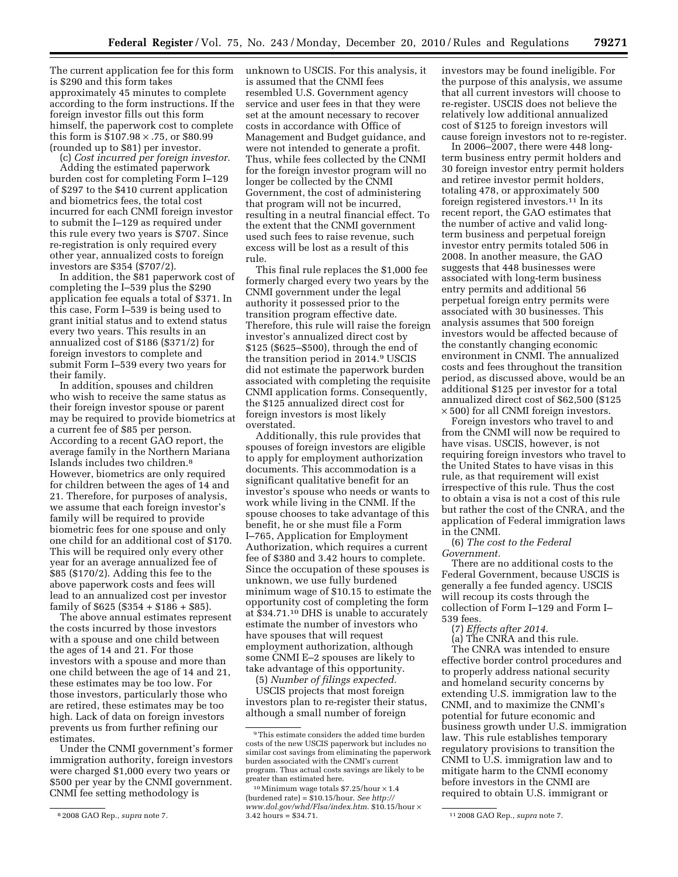The current application fee for this form is \$290 and this form takes approximately 45 minutes to complete according to the form instructions. If the foreign investor fills out this form himself, the paperwork cost to complete this form is  $$107.98 \times .75$ , or  $$80.99$ (rounded up to \$81) per investor.

(c) *Cost incurred per foreign investor.*  Adding the estimated paperwork burden cost for completing Form I–129 of \$297 to the \$410 current application and biometrics fees, the total cost incurred for each CNMI foreign investor to submit the I–129 as required under this rule every two years is \$707. Since re-registration is only required every other year, annualized costs to foreign investors are \$354 (\$707/2).

In addition, the \$81 paperwork cost of completing the I–539 plus the \$290 application fee equals a total of \$371. In this case, Form I–539 is being used to grant initial status and to extend status every two years. This results in an annualized cost of \$186 (\$371/2) for foreign investors to complete and submit Form I–539 every two years for their family.

In addition, spouses and children who wish to receive the same status as their foreign investor spouse or parent may be required to provide biometrics at a current fee of \$85 per person. According to a recent GAO report, the average family in the Northern Mariana Islands includes two children.8 However, biometrics are only required for children between the ages of 14 and 21. Therefore, for purposes of analysis, we assume that each foreign investor's family will be required to provide biometric fees for one spouse and only one child for an additional cost of \$170. This will be required only every other year for an average annualized fee of \$85 (\$170/2). Adding this fee to the above paperwork costs and fees will lead to an annualized cost per investor family of  $$625$  ( $$354 + $186 + $85$ ).

The above annual estimates represent the costs incurred by those investors with a spouse and one child between the ages of 14 and 21. For those investors with a spouse and more than one child between the age of 14 and 21, these estimates may be too low. For those investors, particularly those who are retired, these estimates may be too high. Lack of data on foreign investors prevents us from further refining our estimates.

Under the CNMI government's former immigration authority, foreign investors were charged \$1,000 every two years or \$500 per year by the CNMI government. CNMI fee setting methodology is

unknown to USCIS. For this analysis, it is assumed that the CNMI fees resembled U.S. Government agency service and user fees in that they were set at the amount necessary to recover costs in accordance with Office of Management and Budget guidance, and were not intended to generate a profit. Thus, while fees collected by the CNMI for the foreign investor program will no longer be collected by the CNMI Government, the cost of administering that program will not be incurred, resulting in a neutral financial effect. To the extent that the CNMI government used such fees to raise revenue, such excess will be lost as a result of this rule.

This final rule replaces the \$1,000 fee formerly charged every two years by the CNMI government under the legal authority it possessed prior to the transition program effective date. Therefore, this rule will raise the foreign investor's annualized direct cost by \$125 (\$625–\$500), through the end of the transition period in 2014.9 USCIS did not estimate the paperwork burden associated with completing the requisite CNMI application forms. Consequently, the \$125 annualized direct cost for foreign investors is most likely overstated.

Additionally, this rule provides that spouses of foreign investors are eligible to apply for employment authorization documents. This accommodation is a significant qualitative benefit for an investor's spouse who needs or wants to work while living in the CNMI. If the spouse chooses to take advantage of this benefit, he or she must file a Form I–765, Application for Employment Authorization, which requires a current fee of \$380 and 3.42 hours to complete. Since the occupation of these spouses is unknown, we use fully burdened minimum wage of \$10.15 to estimate the opportunity cost of completing the form at \$34.71.10 DHS is unable to accurately estimate the number of investors who have spouses that will request employment authorization, although some CNMI E–2 spouses are likely to take advantage of this opportunity.

(5) *Number of filings expected.* 

USCIS projects that most foreign investors plan to re-register their status, although a small number of foreign

investors may be found ineligible. For the purpose of this analysis, we assume that all current investors will choose to re-register. USCIS does not believe the relatively low additional annualized cost of \$125 to foreign investors will cause foreign investors not to re-register.

In 2006–2007, there were 448 longterm business entry permit holders and 30 foreign investor entry permit holders and retiree investor permit holders, totaling 478, or approximately 500 foreign registered investors.11 In its recent report, the GAO estimates that the number of active and valid longterm business and perpetual foreign investor entry permits totaled 506 in 2008. In another measure, the GAO suggests that 448 businesses were associated with long-term business entry permits and additional 56 perpetual foreign entry permits were associated with 30 businesses. This analysis assumes that 500 foreign investors would be affected because of the constantly changing economic environment in CNMI. The annualized costs and fees throughout the transition period, as discussed above, would be an additional \$125 per investor for a total annualized direct cost of \$62,500 (\$125  $\times$  500) for all CNMI foreign investors.

Foreign investors who travel to and from the CNMI will now be required to have visas. USCIS, however, is not requiring foreign investors who travel to the United States to have visas in this rule, as that requirement will exist irrespective of this rule. Thus the cost to obtain a visa is not a cost of this rule but rather the cost of the CNRA, and the application of Federal immigration laws in the CNMI.

(6) *The cost to the Federal Government.* 

There are no additional costs to the Federal Government, because USCIS is generally a fee funded agency. USCIS will recoup its costs through the collection of Form I–129 and Form I– 539 fees.

(7) *Effects after 2014.* 

(a) The CNRA and this rule. The CNRA was intended to ensure effective border control procedures and to properly address national security and homeland security concerns by extending U.S. immigration law to the CNMI, and to maximize the CNMI's potential for future economic and business growth under U.S. immigration law. This rule establishes temporary regulatory provisions to transition the CNMI to U.S. immigration law and to mitigate harm to the CNMI economy before investors in the CNMI are required to obtain U.S. immigrant or

<sup>8</sup> 2008 GAO Rep., *supra* note 7.

<sup>9</sup>This estimate considers the added time burden costs of the new USCIS paperwork but includes no similar cost savings from eliminating the paperwork burden associated with the CNMI's current program. Thus actual costs savings are likely to be greater than estimated here.

 $10$  Minimum wage totals \$7.25/hour  $\times$  1.4 (burdened rate) = \$10.15/hour. *See [http://](http://www.dol.gov/whd/Flsa/index.htm) [www.dol.gov/whd/Flsa/index.htm.](http://www.dol.gov/whd/Flsa/index.htm)* \$10.15/hour  $\times$  3.42 hours = \$34.71.

<sup>3.42</sup> hours = \$34.71. 11 2008 GAO Rep., *supra* note 7.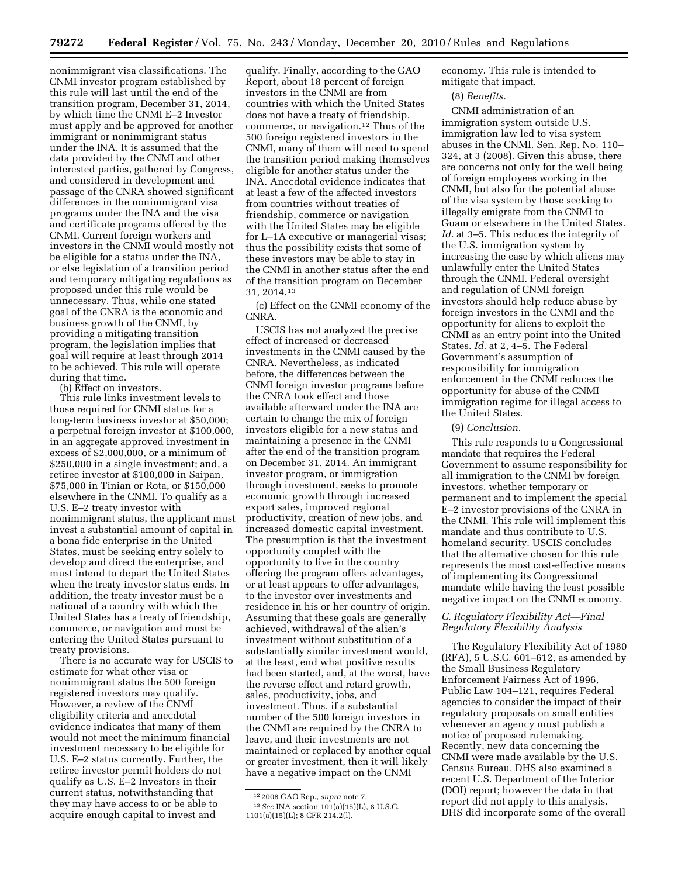nonimmigrant visa classifications. The CNMI investor program established by this rule will last until the end of the transition program, December 31, 2014, by which time the CNMI E–2 Investor must apply and be approved for another immigrant or nonimmigrant status under the INA. It is assumed that the data provided by the CNMI and other interested parties, gathered by Congress, and considered in development and passage of the CNRA showed significant differences in the nonimmigrant visa programs under the INA and the visa and certificate programs offered by the CNMI. Current foreign workers and investors in the CNMI would mostly not be eligible for a status under the INA, or else legislation of a transition period and temporary mitigating regulations as proposed under this rule would be unnecessary. Thus, while one stated goal of the CNRA is the economic and business growth of the CNMI, by providing a mitigating transition program, the legislation implies that goal will require at least through 2014 to be achieved. This rule will operate during that time.

(b) Effect on investors.

This rule links investment levels to those required for CNMI status for a long-term business investor at \$50,000; a perpetual foreign investor at \$100,000, in an aggregate approved investment in excess of \$2,000,000, or a minimum of \$250,000 in a single investment; and, a retiree investor at \$100,000 in Saipan, \$75,000 in Tinian or Rota, or \$150,000 elsewhere in the CNMI. To qualify as a U.S. E–2 treaty investor with nonimmigrant status, the applicant must invest a substantial amount of capital in a bona fide enterprise in the United States, must be seeking entry solely to develop and direct the enterprise, and must intend to depart the United States when the treaty investor status ends. In addition, the treaty investor must be a national of a country with which the United States has a treaty of friendship, commerce, or navigation and must be entering the United States pursuant to treaty provisions.

There is no accurate way for USCIS to estimate for what other visa or nonimmigrant status the 500 foreign registered investors may qualify. However, a review of the CNMI eligibility criteria and anecdotal evidence indicates that many of them would not meet the minimum financial investment necessary to be eligible for U.S. E–2 status currently. Further, the retiree investor permit holders do not qualify as U.S. E–2 Investors in their current status, notwithstanding that they may have access to or be able to acquire enough capital to invest and

qualify. Finally, according to the GAO Report, about 18 percent of foreign investors in the CNMI are from countries with which the United States does not have a treaty of friendship, commerce, or navigation.12 Thus of the 500 foreign registered investors in the CNMI, many of them will need to spend the transition period making themselves eligible for another status under the INA. Anecdotal evidence indicates that at least a few of the affected investors from countries without treaties of friendship, commerce or navigation with the United States may be eligible for L–1A executive or managerial visas; thus the possibility exists that some of these investors may be able to stay in the CNMI in another status after the end of the transition program on December 31, 2014.13

(c) Effect on the CNMI economy of the CNRA.

USCIS has not analyzed the precise effect of increased or decreased investments in the CNMI caused by the CNRA. Nevertheless, as indicated before, the differences between the CNMI foreign investor programs before the CNRA took effect and those available afterward under the INA are certain to change the mix of foreign investors eligible for a new status and maintaining a presence in the CNMI after the end of the transition program on December 31, 2014. An immigrant investor program, or immigration through investment, seeks to promote economic growth through increased export sales, improved regional productivity, creation of new jobs, and increased domestic capital investment. The presumption is that the investment opportunity coupled with the opportunity to live in the country offering the program offers advantages, or at least appears to offer advantages, to the investor over investments and residence in his or her country of origin. Assuming that these goals are generally achieved, withdrawal of the alien's investment without substitution of a substantially similar investment would, at the least, end what positive results had been started, and, at the worst, have the reverse effect and retard growth, sales, productivity, jobs, and investment. Thus, if a substantial number of the 500 foreign investors in the CNMI are required by the CNRA to leave, and their investments are not maintained or replaced by another equal or greater investment, then it will likely have a negative impact on the CNMI

economy. This rule is intended to mitigate that impact.

## (8) *Benefits.*

CNMI administration of an immigration system outside U.S. immigration law led to visa system abuses in the CNMI. Sen. Rep. No. 110– 324, at 3 (2008). Given this abuse, there are concerns not only for the well being of foreign employees working in the CNMI, but also for the potential abuse of the visa system by those seeking to illegally emigrate from the CNMI to Guam or elsewhere in the United States. *Id.* at 3–5. This reduces the integrity of the U.S. immigration system by increasing the ease by which aliens may unlawfully enter the United States through the CNMI. Federal oversight and regulation of CNMI foreign investors should help reduce abuse by foreign investors in the CNMI and the opportunity for aliens to exploit the CNMI as an entry point into the United States. *Id.* at 2, 4–5. The Federal Government's assumption of responsibility for immigration enforcement in the CNMI reduces the opportunity for abuse of the CNMI immigration regime for illegal access to the United States.

#### (9) *Conclusion.*

This rule responds to a Congressional mandate that requires the Federal Government to assume responsibility for all immigration to the CNMI by foreign investors, whether temporary or permanent and to implement the special E–2 investor provisions of the CNRA in the CNMI. This rule will implement this mandate and thus contribute to U.S. homeland security. USCIS concludes that the alternative chosen for this rule represents the most cost-effective means of implementing its Congressional mandate while having the least possible negative impact on the CNMI economy.

## *C. Regulatory Flexibility Act—Final Regulatory Flexibility Analysis*

The Regulatory Flexibility Act of 1980 (RFA), 5 U.S.C. 601–612, as amended by the Small Business Regulatory Enforcement Fairness Act of 1996, Public Law 104–121, requires Federal agencies to consider the impact of their regulatory proposals on small entities whenever an agency must publish a notice of proposed rulemaking. Recently, new data concerning the CNMI were made available by the U.S. Census Bureau. DHS also examined a recent U.S. Department of the Interior (DOI) report; however the data in that report did not apply to this analysis. DHS did incorporate some of the overall

<sup>12</sup> 2008 GAO Rep., *supra* note 7. 13*See* INA section 101(a)(15)(L), 8 U.S.C.

<sup>1101(</sup>a)(15)(L); 8 CFR 214.2(l).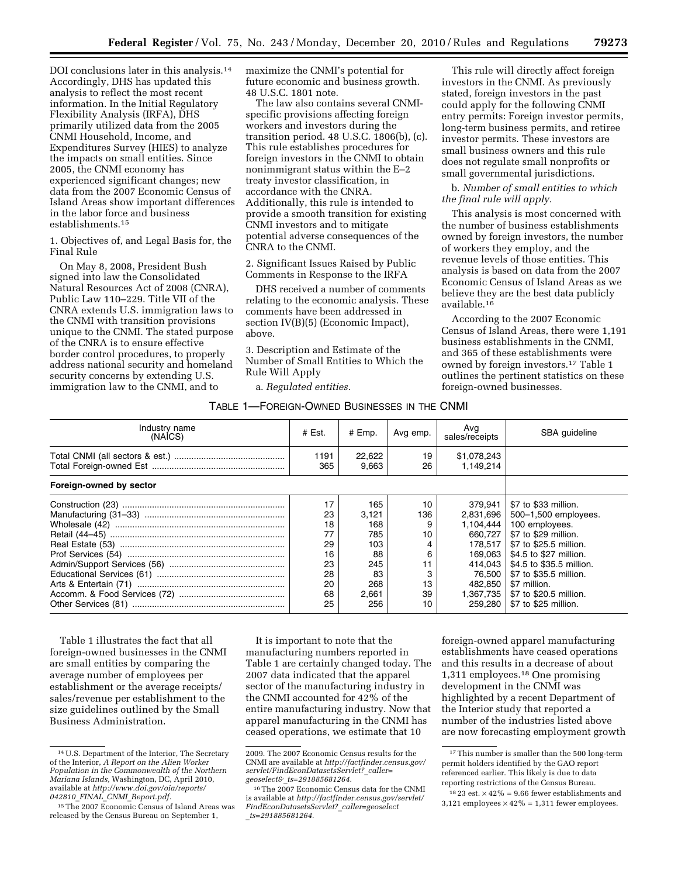DOI conclusions later in this analysis.14 Accordingly, DHS has updated this analysis to reflect the most recent information. In the Initial Regulatory Flexibility Analysis (IRFA), DHS primarily utilized data from the 2005 CNMI Household, Income, and Expenditures Survey (HIES) to analyze the impacts on small entities. Since 2005, the CNMI economy has experienced significant changes; new data from the 2007 Economic Census of Island Areas show important differences in the labor force and business establishments.15

1. Objectives of, and Legal Basis for, the Final Rule

On May 8, 2008, President Bush signed into law the Consolidated Natural Resources Act of 2008 (CNRA), Public Law 110–229. Title VII of the CNRA extends U.S. immigration laws to the CNMI with transition provisions unique to the CNMI. The stated purpose of the CNRA is to ensure effective border control procedures, to properly address national security and homeland security concerns by extending U.S. immigration law to the CNMI, and to

maximize the CNMI's potential for future economic and business growth. 48 U.S.C. 1801 note.

The law also contains several CNMIspecific provisions affecting foreign workers and investors during the transition period. 48 U.S.C. 1806(b), (c). This rule establishes procedures for foreign investors in the CNMI to obtain nonimmigrant status within the E–2 treaty investor classification, in accordance with the CNRA. Additionally, this rule is intended to provide a smooth transition for existing CNMI investors and to mitigate potential adverse consequences of the CNRA to the CNMI.

2. Significant Issues Raised by Public Comments in Response to the IRFA

DHS received a number of comments relating to the economic analysis. These comments have been addressed in section IV(B)(5) (Economic Impact), above.

3. Description and Estimate of the Number of Small Entities to Which the Rule Will Apply

a. *Regulated entities.* 

TABLE 1—FOREIGN-OWNED BUSINESSES IN THE CNMI

This rule will directly affect foreign investors in the CNMI. As previously stated, foreign investors in the past could apply for the following CNMI entry permits: Foreign investor permits, long-term business permits, and retiree investor permits. These investors are small business owners and this rule does not regulate small nonprofits or small governmental jurisdictions.

b. *Number of small entities to which the final rule will apply.* 

This analysis is most concerned with the number of business establishments owned by foreign investors, the number of workers they employ, and the revenue levels of those entities. This analysis is based on data from the 2007 Economic Census of Island Areas as we believe they are the best data publicly available.16

According to the 2007 Economic Census of Island Areas, there were 1,191 business establishments in the CNMI, and 365 of these establishments were owned by foreign investors.17 Table 1 outlines the pertinent statistics on these foreign-owned businesses.

| Industry name<br>(NAICS) | $#$ Est.    | # Emp.          | Avg emp. | Avg<br>sales/receipts    | SBA quideline            |
|--------------------------|-------------|-----------------|----------|--------------------------|--------------------------|
|                          | 1191<br>365 | 22,622<br>9.663 | 19<br>26 | \$1,078,243<br>1.149.214 |                          |
| Foreign-owned by sector  |             |                 |          |                          |                          |
|                          | 17          | 165             | 10       | 379.941                  | \$7 to \$33 million.     |
|                          | 23          | 3,121           | 136      | 2,831,696                | 500-1,500 employees.     |
|                          | 18          | 168             | 9        | 1,104,444                | 100 employees.           |
|                          | 77          | 785             | 10       | 660.727                  | \$7 to \$29 million.     |
|                          | 29          | 103             | 4        | 178.517                  | \$7 to \$25.5 million.   |
|                          | 16          | 88              | 6        | 169.063                  | \$4.5 to \$27 million.   |
|                          | 23          | 245             | 11       | 414.043                  | \$4.5 to \$35.5 million. |
|                          | 28          | 83              | 3        | 76.500                   | \$7 to \$35.5 million.   |
|                          | 20          | 268             | 13       | 482.850                  | \$7 million.             |
|                          | 68          | 2,661           | 39       | 1,367,735                | \$7 to \$20.5 million.   |
|                          | 25          | 256             | 10       | 259.280                  | \$7 to \$25 million.     |

Table 1 illustrates the fact that all foreign-owned businesses in the CNMI are small entities by comparing the average number of employees per establishment or the average receipts/ sales/revenue per establishment to the size guidelines outlined by the Small Business Administration.

It is important to note that the manufacturing numbers reported in Table 1 are certainly changed today. The 2007 data indicated that the apparel sector of the manufacturing industry in the CNMI accounted for 42% of the entire manufacturing industry. Now that apparel manufacturing in the CNMI has ceased operations, we estimate that 10

foreign-owned apparel manufacturing establishments have ceased operations and this results in a decrease of about 1,311 employees.18 One promising development in the CNMI was highlighted by a recent Department of the Interior study that reported a number of the industries listed above are now forecasting employment growth

<sup>14</sup>U.S. Department of the Interior, The Secretary of the Interior, *A Report on the Alien Worker Population in the Commonwealth of the Northern Mariana Islands,* Washington, DC, April 2010, available at *[http://www.doi.gov/oia/reports/](http://www.doi.gov/oia/reports/042810_FINAL_CNMI_Report.pdf) 042810*\_*FINAL*\_*CNMI*\_*[Report.pdf.](http://www.doi.gov/oia/reports/042810_FINAL_CNMI_Report.pdf)* 

<sup>15</sup>The 2007 Economic Census of Island Areas was released by the Census Bureau on September 1,

<sup>2009.</sup> The 2007 Economic Census results for the CNMI are available at *[http://factfinder.census.gov/](http://factfinder.census.gov/servlet/FindEconDatasetsServlet?_caller=geoselect&_ts=291885681264) [servlet/FindEconDatasetsServlet?](http://factfinder.census.gov/servlet/FindEconDatasetsServlet?_caller=geoselect&_ts=291885681264)*\_*caller= geoselect&*\_*[ts=291885681264.](http://factfinder.census.gov/servlet/FindEconDatasetsServlet?_caller=geoselect&_ts=291885681264)* 

<sup>16</sup>The 2007 Economic Census data for the CNMI is available at *[http://factfinder.census.gov/servlet/](http://factfinder.census.gov/servlet/FindEconDatasetsServlet?_caller=geoselect_ts=291885681264) [FindEconDatasetsServlet?](http://factfinder.census.gov/servlet/FindEconDatasetsServlet?_caller=geoselect_ts=291885681264)*\_*caller=geoselect* \_*[ts=291885681264.](http://factfinder.census.gov/servlet/FindEconDatasetsServlet?_caller=geoselect_ts=291885681264)* 

<sup>&</sup>lt;sup>17</sup>This number is smaller than the 500 long-term permit holders identified by the GAO report referenced earlier. This likely is due to data reporting restrictions of the Census Bureau.

 $^{18}$  23 est.  $\times\,42\%$  = 9.66 fewer establishments and 3,121 employees  $\times$  42% = 1,311 fewer employees.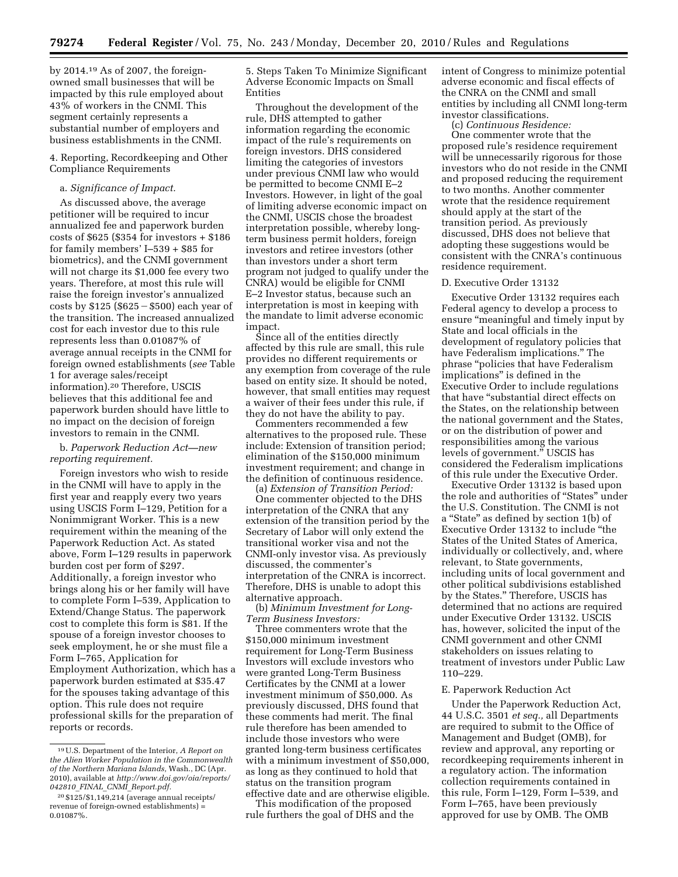by 2014.19 As of 2007, the foreignowned small businesses that will be impacted by this rule employed about 43% of workers in the CNMI. This segment certainly represents a substantial number of employers and business establishments in the CNMI.

4. Reporting, Recordkeeping and Other Compliance Requirements

## a. *Significance of Impact.*

As discussed above, the average petitioner will be required to incur annualized fee and paperwork burden costs of \$625 (\$354 for investors + \$186 for family members' I–539 + \$85 for biometrics), and the CNMI government will not charge its \$1,000 fee every two years. Therefore, at most this rule will raise the foreign investor's annualized costs by  $$125 ($625 - $500)$  each year of the transition. The increased annualized cost for each investor due to this rule represents less than 0.01087% of average annual receipts in the CNMI for foreign owned establishments (*see* Table 1 for average sales/receipt information).20 Therefore, USCIS believes that this additional fee and paperwork burden should have little to no impact on the decision of foreign investors to remain in the CNMI.

b. *Paperwork Reduction Act—new reporting requirement.* 

Foreign investors who wish to reside in the CNMI will have to apply in the first year and reapply every two years using USCIS Form I–129, Petition for a Nonimmigrant Worker. This is a new requirement within the meaning of the Paperwork Reduction Act. As stated above, Form I–129 results in paperwork burden cost per form of \$297. Additionally, a foreign investor who brings along his or her family will have to complete Form I–539, Application to Extend/Change Status. The paperwork cost to complete this form is \$81. If the spouse of a foreign investor chooses to seek employment, he or she must file a Form I–765, Application for Employment Authorization, which has a paperwork burden estimated at \$35.47 for the spouses taking advantage of this option. This rule does not require professional skills for the preparation of reports or records.

5. Steps Taken To Minimize Significant Adverse Economic Impacts on Small Entities

Throughout the development of the rule, DHS attempted to gather information regarding the economic impact of the rule's requirements on foreign investors. DHS considered limiting the categories of investors under previous CNMI law who would be permitted to become CNMI E–2 Investors. However, in light of the goal of limiting adverse economic impact on the CNMI, USCIS chose the broadest interpretation possible, whereby longterm business permit holders, foreign investors and retiree investors (other than investors under a short term program not judged to qualify under the CNRA) would be eligible for CNMI E–2 Investor status, because such an interpretation is most in keeping with the mandate to limit adverse economic impact.

Since all of the entities directly affected by this rule are small, this rule provides no different requirements or any exemption from coverage of the rule based on entity size. It should be noted, however, that small entities may request a waiver of their fees under this rule, if they do not have the ability to pay.

Commenters recommended a few alternatives to the proposed rule. These include: Extension of transition period; elimination of the \$150,000 minimum investment requirement; and change in the definition of continuous residence.

(a) *Extension of Transition Period:*  One commenter objected to the DHS interpretation of the CNRA that any extension of the transition period by the Secretary of Labor will only extend the transitional worker visa and not the CNMI-only investor visa. As previously discussed, the commenter's interpretation of the CNRA is incorrect. Therefore, DHS is unable to adopt this alternative approach.

(b) *Minimum Investment for Long-Term Business Investors:* 

Three commenters wrote that the \$150,000 minimum investment requirement for Long-Term Business Investors will exclude investors who were granted Long-Term Business Certificates by the CNMI at a lower investment minimum of \$50,000. As previously discussed, DHS found that these comments had merit. The final rule therefore has been amended to include those investors who were granted long-term business certificates with a minimum investment of \$50,000, as long as they continued to hold that status on the transition program effective date and are otherwise eligible.

This modification of the proposed rule furthers the goal of DHS and the intent of Congress to minimize potential adverse economic and fiscal effects of the CNRA on the CNMI and small entities by including all CNMI long-term investor classifications.

(c) *Continuous Residence:*  One commenter wrote that the proposed rule's residence requirement will be unnecessarily rigorous for those investors who do not reside in the CNMI and proposed reducing the requirement to two months. Another commenter wrote that the residence requirement should apply at the start of the transition period. As previously discussed, DHS does not believe that adopting these suggestions would be consistent with the CNRA's continuous residence requirement.

### D. Executive Order 13132

Executive Order 13132 requires each Federal agency to develop a process to ensure "meaningful and timely input by State and local officials in the development of regulatory policies that have Federalism implications.'' The phrase ''policies that have Federalism implications'' is defined in the Executive Order to include regulations that have ''substantial direct effects on the States, on the relationship between the national government and the States, or on the distribution of power and responsibilities among the various levels of government.'' USCIS has considered the Federalism implications of this rule under the Executive Order.

Executive Order 13132 is based upon the role and authorities of ''States'' under the U.S. Constitution. The CNMI is not a ''State'' as defined by section 1(b) of Executive Order 13132 to include ''the States of the United States of America, individually or collectively, and, where relevant, to State governments, including units of local government and other political subdivisions established by the States.'' Therefore, USCIS has determined that no actions are required under Executive Order 13132. USCIS has, however, solicited the input of the CNMI government and other CNMI stakeholders on issues relating to treatment of investors under Public Law 110–229.

### E. Paperwork Reduction Act

Under the Paperwork Reduction Act, 44 U.S.C. 3501 *et seq.,* all Departments are required to submit to the Office of Management and Budget (OMB), for review and approval, any reporting or recordkeeping requirements inherent in a regulatory action. The information collection requirements contained in this rule, Form I–129, Form I–539, and Form I–765, have been previously approved for use by OMB. The OMB

<sup>19</sup>U.S. Department of the Interior, *A Report on the Alien Worker Population in the Commonwealth of the Northern Mariana Islands,* Wash., DC (Apr. 2010), available at *[http://www.doi.gov/oia/reports/](http://www.doi.gov/oia/reports/042810_FINAL_CNMI_Report.pdf)  042810*\_*FINAL*\_*CNMI*\_*[Report.pdf.](http://www.doi.gov/oia/reports/042810_FINAL_CNMI_Report.pdf)* 

<sup>20</sup> \$125/\$1,149,214 (average annual receipts/ revenue of foreign-owned establishments) = 0.01087%.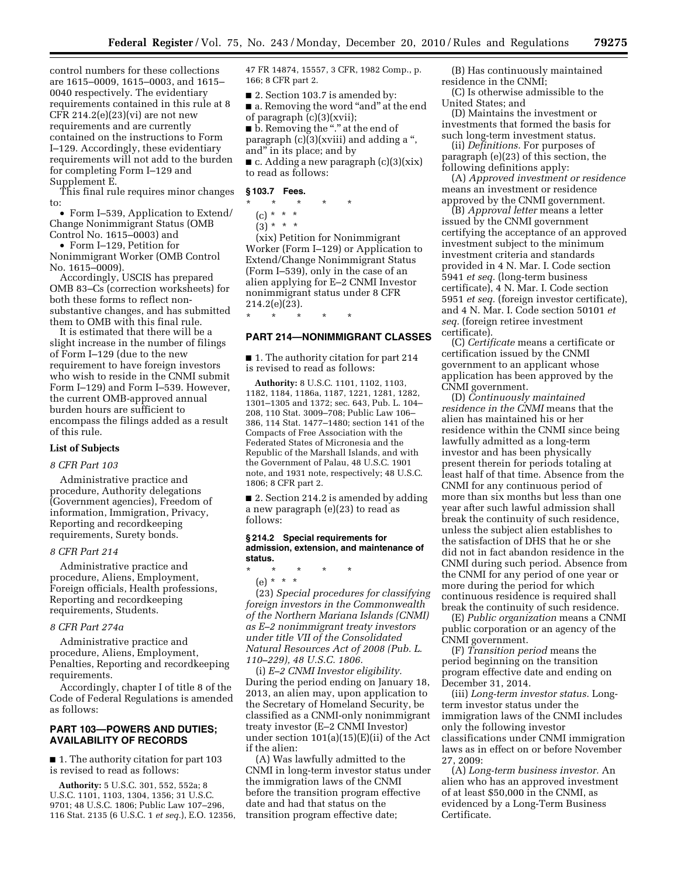control numbers for these collections are 1615–0009, 1615–0003, and 1615– 0040 respectively. The evidentiary requirements contained in this rule at 8 CFR 214.2(e)(23)(vi) are not new requirements and are currently contained on the instructions to Form I–129. Accordingly, these evidentiary requirements will not add to the burden for completing Form I–129 and Supplement E.

This final rule requires minor changes to:

• Form I–539, Application to Extend/ Change Nonimmigrant Status (OMB Control No. 1615–0003) and

• Form I–129, Petition for Nonimmigrant Worker (OMB Control No. 1615–0009).

Accordingly, USCIS has prepared OMB 83–Cs (correction worksheets) for both these forms to reflect nonsubstantive changes, and has submitted them to OMB with this final rule.

It is estimated that there will be a slight increase in the number of filings of Form I–129 (due to the new requirement to have foreign investors who wish to reside in the CNMI submit Form I–129) and Form I–539. However, the current OMB-approved annual burden hours are sufficient to encompass the filings added as a result of this rule.

## **List of Subjects**

#### *8 CFR Part 103*

Administrative practice and procedure, Authority delegations (Government agencies), Freedom of information, Immigration, Privacy, Reporting and recordkeeping requirements, Surety bonds.

## *8 CFR Part 214*

Administrative practice and procedure, Aliens, Employment, Foreign officials, Health professions, Reporting and recordkeeping requirements, Students.

#### *8 CFR Part 274a*

Administrative practice and procedure, Aliens, Employment, Penalties, Reporting and recordkeeping requirements.

Accordingly, chapter I of title 8 of the Code of Federal Regulations is amended as follows:

## **PART 103—POWERS AND DUTIES; AVAILABILITY OF RECORDS**

■ 1. The authority citation for part 103 is revised to read as follows:

**Authority:** 5 U.S.C. 301, 552, 552a; 8 U.S.C. 1101, 1103, 1304, 1356; 31 U.S.C. 9701; 48 U.S.C. 1806; Public Law 107–296, 116 Stat. 2135 (6 U.S.C. 1 *et seq.*), E.O. 12356, 47 FR 14874, 15557, 3 CFR, 1982 Comp., p. 166; 8 CFR part 2.

■ 2. Section 103.7 is amended by: ■ a. Removing the word "and" at the end of paragraph (c)(3)(xvii);

■ b. Removing the "." at the end of paragraph  $(c)(3)(xviii)$  and adding a ", and'' in its place; and by  $\blacksquare$  c. Adding a new paragraph  $(c)(3)(xix)$ to read as follows:

## **§ 103.7 Fees.**

\* \* \* \* \*

(c) \* \* \*

 $(3) * * * *$ 

(xix) Petition for Nonimmigrant Worker (Form I–129) or Application to Extend/Change Nonimmigrant Status (Form I–539), only in the case of an alien applying for E–2 CNMI Investor nonimmigrant status under 8 CFR 214.2(e)(23).

# \* \* \* \* \* **PART 214—NONIMMIGRANT CLASSES**

■ 1. The authority citation for part 214 is revised to read as follows:

**Authority:** 8 U.S.C. 1101, 1102, 1103, 1182, 1184, 1186a, 1187, 1221, 1281, 1282, 1301–1305 and 1372; sec. 643, Pub. L. 104– 208, 110 Stat. 3009–708; Public Law 106– 386, 114 Stat. 1477–1480; section 141 of the Compacts of Free Association with the Federated States of Micronesia and the Republic of the Marshall Islands, and with the Government of Palau, 48 U.S.C. 1901 note, and 1931 note, respectively; 48 U.S.C. 1806; 8 CFR part 2.

■ 2. Section 214.2 is amended by adding a new paragraph (e)(23) to read as follows:

#### **§ 214.2 Special requirements for admission, extension, and maintenance of status.**

\* \* \* \* \*

(e) \* \* \*

(23) *Special procedures for classifying foreign investors in the Commonwealth of the Northern Mariana Islands (CNMI) as E–2 nonimmigrant treaty investors under title VII of the Consolidated Natural Resources Act of 2008 (Pub. L. 110–229), 48 U.S.C. 1806.* 

(i) *E–2 CNMI Investor eligibility.*  During the period ending on January 18, 2013, an alien may, upon application to the Secretary of Homeland Security, be classified as a CNMI-only nonimmigrant treaty investor (E–2 CNMI Investor) under section 101(a)(15)(E)(ii) of the Act if the alien:

(A) Was lawfully admitted to the CNMI in long-term investor status under the immigration laws of the CNMI before the transition program effective date and had that status on the transition program effective date;

(B) Has continuously maintained residence in the CNMI;

(C) Is otherwise admissible to the United States; and

(D) Maintains the investment or investments that formed the basis for such long-term investment status.

(ii) *Definitions.* For purposes of paragraph (e)(23) of this section, the following definitions apply:

(A) *Approved investment or residence*  means an investment or residence approved by the CNMI government.

(B) *Approval letter* means a letter issued by the CNMI government certifying the acceptance of an approved investment subject to the minimum investment criteria and standards provided in 4 N. Mar. I. Code section 5941 *et seq.* (long-term business certificate), 4 N. Mar. I. Code section 5951 *et seq.* (foreign investor certificate), and 4 N. Mar. I. Code section 50101 *et seq.* (foreign retiree investment certificate).

(C) *Certificate* means a certificate or certification issued by the CNMI government to an applicant whose application has been approved by the CNMI government.

(D) *Continuously maintained residence in the CNMI* means that the alien has maintained his or her residence within the CNMI since being lawfully admitted as a long-term investor and has been physically present therein for periods totaling at least half of that time. Absence from the CNMI for any continuous period of more than six months but less than one year after such lawful admission shall break the continuity of such residence, unless the subject alien establishes to the satisfaction of DHS that he or she did not in fact abandon residence in the CNMI during such period. Absence from the CNMI for any period of one year or more during the period for which continuous residence is required shall break the continuity of such residence.

(E) *Public organization* means a CNMI public corporation or an agency of the CNMI government.

(F) *Transition period* means the period beginning on the transition program effective date and ending on December 31, 2014.

(iii) *Long-term investor status.* Longterm investor status under the immigration laws of the CNMI includes only the following investor classifications under CNMI immigration laws as in effect on or before November 27, 2009:

(A) *Long-term business investor.* An alien who has an approved investment of at least \$50,000 in the CNMI, as evidenced by a Long-Term Business Certificate.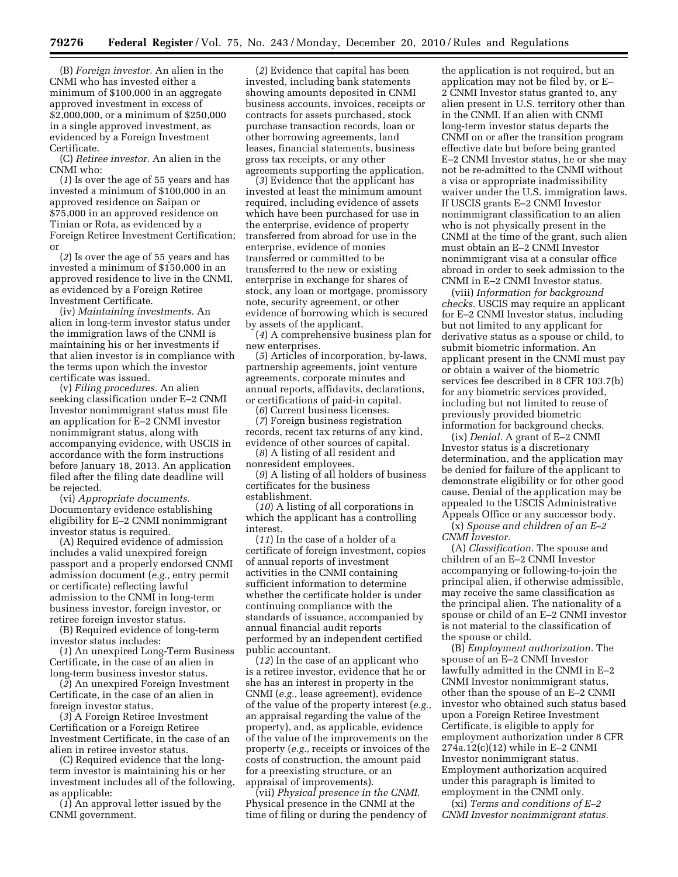(B) *Foreign investor.* An alien in the CNMI who has invested either a minimum of \$100,000 in an aggregate approved investment in excess of \$2,000,000, or a minimum of \$250,000 in a single approved investment, as evidenced by a Foreign Investment Certificate.

(C) *Retiree investor.* An alien in the CNMI who:

(*1*) Is over the age of 55 years and has invested a minimum of \$100,000 in an approved residence on Saipan or \$75,000 in an approved residence on Tinian or Rota, as evidenced by a Foreign Retiree Investment Certification; or

(*2*) Is over the age of 55 years and has invested a minimum of \$150,000 in an approved residence to live in the CNMI, as evidenced by a Foreign Retiree Investment Certificate.

(iv) *Maintaining investments.* An alien in long-term investor status under the immigration laws of the CNMI is maintaining his or her investments if that alien investor is in compliance with the terms upon which the investor certificate was issued.

(v) *Filing procedures.* An alien seeking classification under E–2 CNMI Investor nonimmigrant status must file an application for E–2 CNMI investor nonimmigrant status, along with accompanying evidence, with USCIS in accordance with the form instructions before January 18, 2013. An application filed after the filing date deadline will be rejected.

(vi) *Appropriate documents.*  Documentary evidence establishing eligibility for E–2 CNMI nonimmigrant investor status is required.

(A) Required evidence of admission includes a valid unexpired foreign passport and a properly endorsed CNMI admission document (*e.g.,* entry permit or certificate) reflecting lawful admission to the CNMI in long-term business investor, foreign investor, or retiree foreign investor status.

(B) Required evidence of long-term investor status includes:

(*1*) An unexpired Long-Term Business Certificate, in the case of an alien in long-term business investor status.

(*2*) An unexpired Foreign Investment Certificate, in the case of an alien in foreign investor status.

(*3*) A Foreign Retiree Investment Certification or a Foreign Retiree Investment Certificate, in the case of an alien in retiree investor status.

(C) Required evidence that the longterm investor is maintaining his or her investment includes all of the following, as applicable:

(*1*) An approval letter issued by the CNMI government.

(*2*) Evidence that capital has been invested, including bank statements showing amounts deposited in CNMI business accounts, invoices, receipts or contracts for assets purchased, stock purchase transaction records, loan or other borrowing agreements, land leases, financial statements, business gross tax receipts, or any other agreements supporting the application.

(*3*) Evidence that the applicant has invested at least the minimum amount required, including evidence of assets which have been purchased for use in the enterprise, evidence of property transferred from abroad for use in the enterprise, evidence of monies transferred or committed to be transferred to the new or existing enterprise in exchange for shares of stock, any loan or mortgage, promissory note, security agreement, or other evidence of borrowing which is secured by assets of the applicant.

(*4*) A comprehensive business plan for new enterprises.

(*5*) Articles of incorporation, by-laws, partnership agreements, joint venture agreements, corporate minutes and annual reports, affidavits, declarations, or certifications of paid-in capital.

(*6*) Current business licenses.

(*7*) Foreign business registration records, recent tax returns of any kind, evidence of other sources of capital.

(*8*) A listing of all resident and nonresident employees.

(*9*) A listing of all holders of business certificates for the business establishment.

(*10*) A listing of all corporations in which the applicant has a controlling interest.

(*11*) In the case of a holder of a certificate of foreign investment, copies of annual reports of investment activities in the CNMI containing sufficient information to determine whether the certificate holder is under continuing compliance with the standards of issuance, accompanied by annual financial audit reports performed by an independent certified public accountant.

(*12*) In the case of an applicant who is a retiree investor, evidence that he or she has an interest in property in the CNMI (*e.g.,* lease agreement), evidence of the value of the property interest (*e.g.,*  an appraisal regarding the value of the property), and, as applicable, evidence of the value of the improvements on the property (*e.g.,* receipts or invoices of the costs of construction, the amount paid for a preexisting structure, or an appraisal of improvements).

(vii) *Physical presence in the CNMI.*  Physical presence in the CNMI at the time of filing or during the pendency of

the application is not required, but an application may not be filed by, or E– 2 CNMI Investor status granted to, any alien present in U.S. territory other than in the CNMI. If an alien with CNMI long-term investor status departs the CNMI on or after the transition program effective date but before being granted E–2 CNMI Investor status, he or she may not be re-admitted to the CNMI without a visa or appropriate inadmissibility waiver under the U.S. immigration laws. If USCIS grants E–2 CNMI Investor nonimmigrant classification to an alien who is not physically present in the CNMI at the time of the grant, such alien must obtain an E–2 CNMI Investor nonimmigrant visa at a consular office abroad in order to seek admission to the CNMI in E–2 CNMI Investor status.

(viii) *Information for background checks.* USCIS may require an applicant for E–2 CNMI Investor status, including but not limited to any applicant for derivative status as a spouse or child, to submit biometric information. An applicant present in the CNMI must pay or obtain a waiver of the biometric services fee described in 8 CFR 103.7(b) for any biometric services provided, including but not limited to reuse of previously provided biometric information for background checks.

(ix) *Denial.* A grant of E–2 CNMI Investor status is a discretionary determination, and the application may be denied for failure of the applicant to demonstrate eligibility or for other good cause. Denial of the application may be appealed to the USCIS Administrative Appeals Office or any successor body.

(x) *Spouse and children of an E–2 CNMI Investor.* 

(A) *Classification.* The spouse and children of an E–2 CNMI Investor accompanying or following-to-join the principal alien, if otherwise admissible, may receive the same classification as the principal alien. The nationality of a spouse or child of an E–2 CNMI investor is not material to the classification of the spouse or child.

(B) *Employment authorization.* The spouse of an E–2 CNMI Investor lawfully admitted in the CNMI in E–2 CNMI Investor nonimmigrant status, other than the spouse of an E–2 CNMI investor who obtained such status based upon a Foreign Retiree Investment Certificate, is eligible to apply for employment authorization under 8 CFR 274a.12(c)(12) while in E–2 CNMI Investor nonimmigrant status. Employment authorization acquired under this paragraph is limited to employment in the CNMI only.

(xi) *Terms and conditions of E–2 CNMI Investor nonimmigrant status.*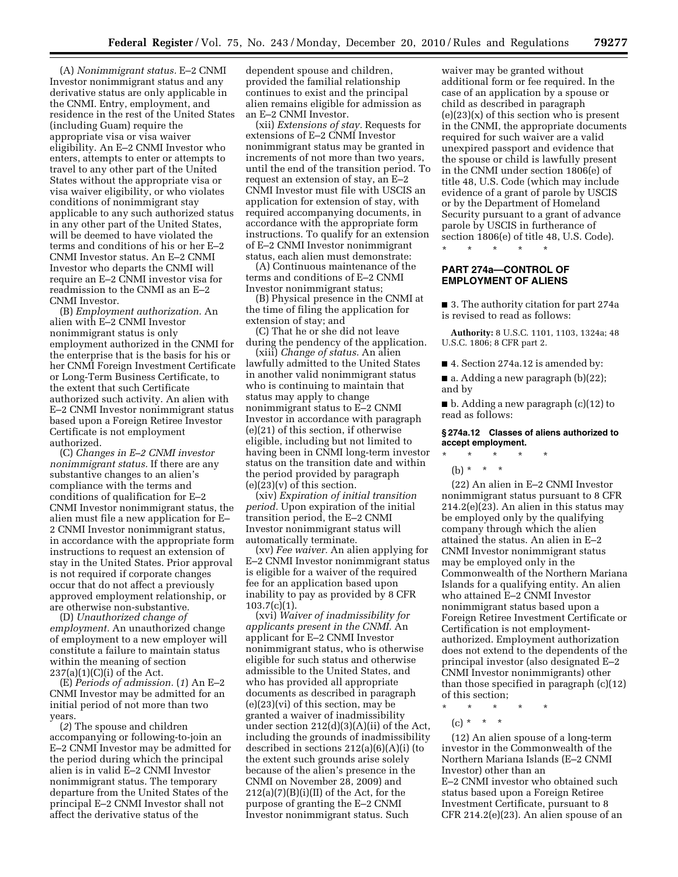(A) *Nonimmigrant status.* E–2 CNMI Investor nonimmigrant status and any derivative status are only applicable in the CNMI. Entry, employment, and residence in the rest of the United States (including Guam) require the appropriate visa or visa waiver eligibility. An E–2 CNMI Investor who enters, attempts to enter or attempts to travel to any other part of the United States without the appropriate visa or visa waiver eligibility, or who violates conditions of nonimmigrant stay applicable to any such authorized status in any other part of the United States, will be deemed to have violated the terms and conditions of his or her E–2 CNMI Investor status. An E–2 CNMI Investor who departs the CNMI will require an E–2 CNMI investor visa for readmission to the CNMI as an E–2 CNMI Investor.

(B) *Employment authorization.* An alien with E–2 CNMI Investor nonimmigrant status is only employment authorized in the CNMI for the enterprise that is the basis for his or her CNMI Foreign Investment Certificate or Long-Term Business Certificate, to the extent that such Certificate authorized such activity. An alien with E–2 CNMI Investor nonimmigrant status based upon a Foreign Retiree Investor Certificate is not employment authorized.

(C) *Changes in E–2 CNMI investor nonimmigrant status.* If there are any substantive changes to an alien's compliance with the terms and conditions of qualification for E–2 CNMI Investor nonimmigrant status, the alien must file a new application for E– 2 CNMI Investor nonimmigrant status, in accordance with the appropriate form instructions to request an extension of stay in the United States. Prior approval is not required if corporate changes occur that do not affect a previously approved employment relationship, or are otherwise non-substantive.

(D) *Unauthorized change of employment.* An unauthorized change of employment to a new employer will constitute a failure to maintain status within the meaning of section 237(a)(1)(C)(i) of the Act.

(E) *Periods of admission.* (*1*) An E–2 CNMI Investor may be admitted for an initial period of not more than two years.

(*2*) The spouse and children accompanying or following-to-join an E–2 CNMI Investor may be admitted for the period during which the principal alien is in valid E–2 CNMI Investor nonimmigrant status. The temporary departure from the United States of the principal E–2 CNMI Investor shall not affect the derivative status of the

dependent spouse and children, provided the familial relationship continues to exist and the principal alien remains eligible for admission as an E–2 CNMI Investor.

(xii) *Extensions of stay.* Requests for extensions of E–2 CNMI Investor nonimmigrant status may be granted in increments of not more than two years, until the end of the transition period. To request an extension of stay, an E–2 CNMI Investor must file with USCIS an application for extension of stay, with required accompanying documents, in accordance with the appropriate form instructions. To qualify for an extension of E–2 CNMI Investor nonimmigrant status, each alien must demonstrate:

(A) Continuous maintenance of the terms and conditions of E–2 CNMI Investor nonimmigrant status;

(B) Physical presence in the CNMI at the time of filing the application for extension of stay; and

(C) That he or she did not leave during the pendency of the application.

(xiii) *Change of status.* An alien lawfully admitted to the United States in another valid nonimmigrant status who is continuing to maintain that status may apply to change nonimmigrant status to E–2 CNMI Investor in accordance with paragraph (e)(21) of this section, if otherwise eligible, including but not limited to having been in CNMI long-term investor status on the transition date and within the period provided by paragraph  $(e)(23)(v)$  of this section.

(xiv) *Expiration of initial transition period.* Upon expiration of the initial transition period, the E–2 CNMI Investor nonimmigrant status will automatically terminate.

(xv) *Fee waiver.* An alien applying for E–2 CNMI Investor nonimmigrant status is eligible for a waiver of the required fee for an application based upon inability to pay as provided by 8 CFR 103.7(c)(1).

(xvi) *Waiver of inadmissibility for applicants present in the CNMI.* An applicant for E–2 CNMI Investor nonimmigrant status, who is otherwise eligible for such status and otherwise admissible to the United States, and who has provided all appropriate documents as described in paragraph (e)(23)(vi) of this section, may be granted a waiver of inadmissibility under section 212(d)(3)(A)(ii) of the Act, including the grounds of inadmissibility described in sections  $212(a)(6)(A)(i)$  (to the extent such grounds arise solely because of the alien's presence in the CNMI on November 28, 2009) and  $212(a)(7)(B)(i)(II)$  of the Act, for the purpose of granting the E–2 CNMI Investor nonimmigrant status. Such

waiver may be granted without additional form or fee required. In the case of an application by a spouse or child as described in paragraph  $(e)(23)(x)$  of this section who is present in the CNMI, the appropriate documents required for such waiver are a valid unexpired passport and evidence that the spouse or child is lawfully present in the CNMI under section 1806(e) of title 48, U.S. Code (which may include evidence of a grant of parole by USCIS or by the Department of Homeland Security pursuant to a grant of advance parole by USCIS in furtherance of section 1806(e) of title 48, U.S. Code). \* \* \* \* \*

**PART 274a—CONTROL OF EMPLOYMENT OF ALIENS** 

■ 3. The authority citation for part 274a is revised to read as follows:

**Authority:** 8 U.S.C. 1101, 1103, 1324a; 48 U.S.C. 1806; 8 CFR part 2.

■ 4. Section 274a.12 is amended by:

■ a. Adding a new paragraph (b)(22); and by

■ b. Adding a new paragraph (c)(12) to read as follows:

## **§ 274a.12 Classes of aliens authorized to accept employment.**

\* \* \* \* \*

(b) \* \* \*

(22) An alien in E–2 CNMI Investor nonimmigrant status pursuant to 8 CFR 214.2(e)(23). An alien in this status may be employed only by the qualifying company through which the alien attained the status. An alien in E–2 CNMI Investor nonimmigrant status may be employed only in the Commonwealth of the Northern Mariana Islands for a qualifying entity. An alien who attained E–2 CNMI Investor nonimmigrant status based upon a Foreign Retiree Investment Certificate or Certification is not employmentauthorized. Employment authorization does not extend to the dependents of the principal investor (also designated E–2 CNMI Investor nonimmigrants) other than those specified in paragraph (c)(12) of this section;

- \* \* \* \* \*
- (c) \* \* \*

(12) An alien spouse of a long-term investor in the Commonwealth of the Northern Mariana Islands (E–2 CNMI Investor) other than an E–2 CNMI investor who obtained such status based upon a Foreign Retiree Investment Certificate, pursuant to 8 CFR 214.2(e)(23). An alien spouse of an